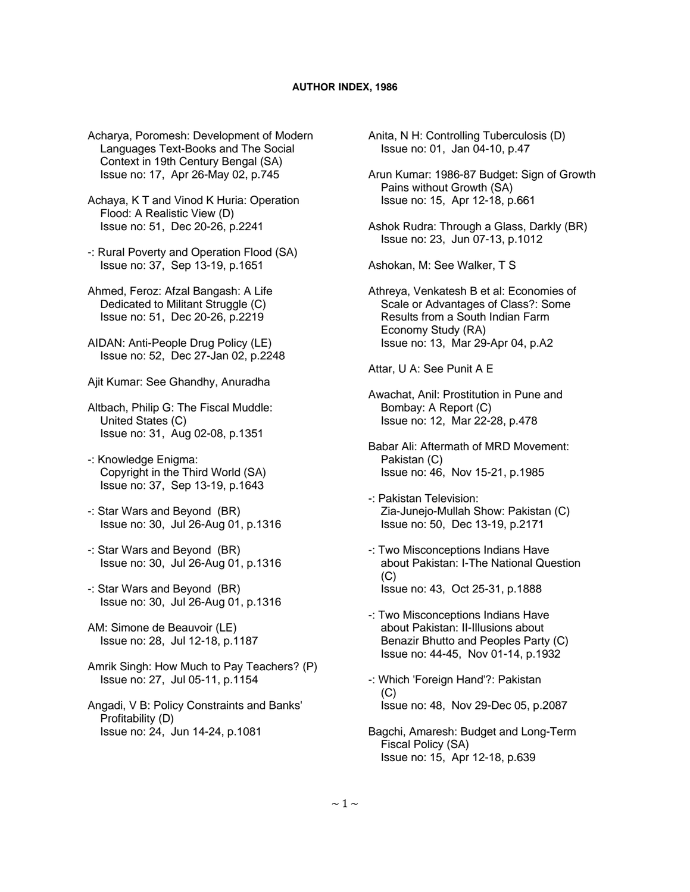Acharya, Poromesh: Development of Modern Languages Text-Books and The Social Context in 19th Century Bengal (SA) Issue no: 17, Apr 26-May 02, p.745

 Achaya, K T and Vinod K Huria: Operation Flood: A Realistic View (D) Issue no: 51, Dec 20-26, p.2241

 -: Rural Poverty and Operation Flood (SA) Issue no: 37, Sep 13-19, p.1651

 Ahmed, Feroz: Afzal Bangash: A Life Dedicated to Militant Struggle (C) Issue no: 51, Dec 20-26, p.2219

 AIDAN: Anti-People Drug Policy (LE) Issue no: 52, Dec 27-Jan 02, p.2248

Ajit Kumar: See Ghandhy, Anuradha

 Altbach, Philip G: The Fiscal Muddle: United States (C) Issue no: 31, Aug 02-08, p.1351

- -: Knowledge Enigma: Copyright in the Third World (SA) Issue no: 37, Sep 13-19, p.1643
- -: Star Wars and Beyond (BR) Issue no: 30, Jul 26-Aug 01, p.1316
- -: Star Wars and Beyond (BR) Issue no: 30, Jul 26-Aug 01, p.1316
- -: Star Wars and Beyond (BR) Issue no: 30, Jul 26-Aug 01, p.1316

 AM: Simone de Beauvoir (LE) Issue no: 28, Jul 12-18, p.1187

 Amrik Singh: How Much to Pay Teachers? (P) Issue no: 27, Jul 05-11, p.1154

 Angadi, V B: Policy Constraints and Banks' Profitability (D) Issue no: 24, Jun 14-24, p.1081

 Anita, N H: Controlling Tuberculosis (D) Issue no: 01, Jan 04-10, p.47

 Arun Kumar: 1986-87 Budget: Sign of Growth Pains without Growth (SA) Issue no: 15, Apr 12-18, p.661

 Ashok Rudra: Through a Glass, Darkly (BR) Issue no: 23, Jun 07-13, p.1012

Ashokan, M: See Walker, T S

 Athreya, Venkatesh B et al: Economies of Scale or Advantages of Class?: Some Results from a South Indian Farm Economy Study (RA) Issue no: 13, Mar 29-Apr 04, p.A2

Attar, U A: See Punit A E

 Awachat, Anil: Prostitution in Pune and Bombay: A Report (C) Issue no: 12, Mar 22-28, p.478

 Babar Ali: Aftermath of MRD Movement: Pakistan (C) Issue no: 46, Nov 15-21, p.1985

 -: Pakistan Television: Zia-Junejo-Mullah Show: Pakistan (C) Issue no: 50, Dec 13-19, p.2171

- -: Two Misconceptions Indians Have about Pakistan: I-The National Question  $(C)$ Issue no: 43, Oct 25-31, p.1888
- -: Two Misconceptions Indians Have about Pakistan: II-Illusions about Benazir Bhutto and Peoples Party (C) Issue no: 44-45, Nov 01-14, p.1932
- -: Which 'Foreign Hand'?: Pakistan  $(C)$ Issue no: 48, Nov 29-Dec 05, p.2087
- Bagchi, Amaresh: Budget and Long-Term Fiscal Policy (SA) Issue no: 15, Apr 12-18, p.639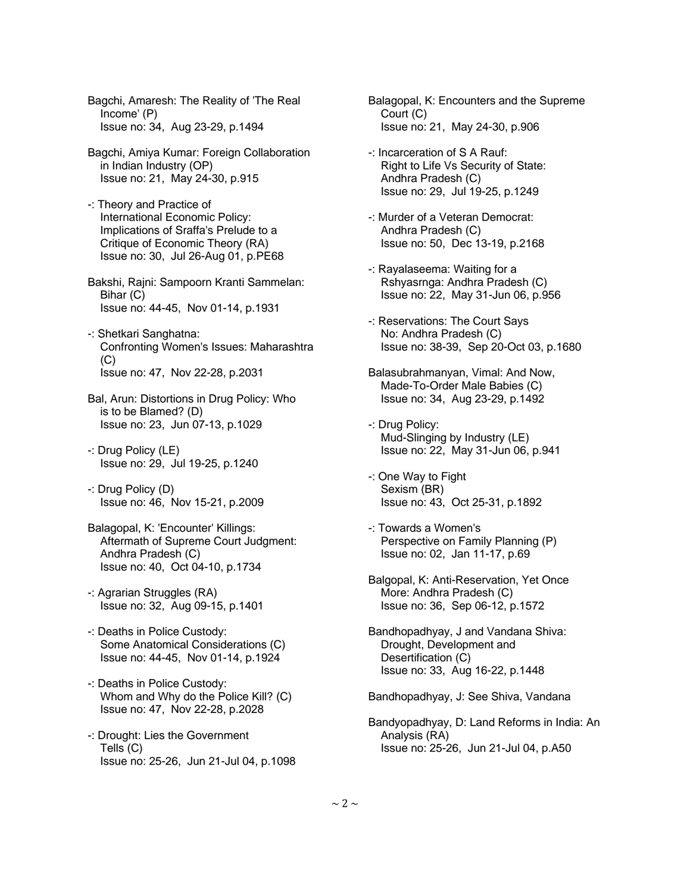Bagchi, Amaresh: The Reality of 'The Real Income' (P) Issue no: 34, Aug 23-29, p.1494

- Bagchi, Amiya Kumar: Foreign Collaboration in Indian Industry (OP) Issue no: 21, May 24-30, p.915
- -: Theory and Practice of International Economic Policy: Implications of Sraffa's Prelude to a Critique of Economic Theory (RA) Issue no: 30, Jul 26-Aug 01, p.PE68

 Bakshi, Rajni: Sampoorn Kranti Sammelan: Bihar (C) Issue no: 44-45, Nov 01-14, p.1931

- -: Shetkari Sanghatna: Confronting Women's Issues: Maharashtra  $(C)$ Issue no: 47, Nov 22-28, p.2031
- Bal, Arun: Distortions in Drug Policy: Who is to be Blamed? (D) Issue no: 23, Jun 07-13, p.1029
- -: Drug Policy (LE) Issue no: 29, Jul 19-25, p.1240
- -: Drug Policy (D) Issue no: 46, Nov 15-21, p.2009
- Balagopal, K: 'Encounter' Killings: Aftermath of Supreme Court Judgment: Andhra Pradesh (C) Issue no: 40, Oct 04-10, p.1734
- -: Agrarian Struggles (RA) Issue no: 32, Aug 09-15, p.1401
- -: Deaths in Police Custody: Some Anatomical Considerations (C) Issue no: 44-45, Nov 01-14, p.1924
- -: Deaths in Police Custody: Whom and Why do the Police Kill? (C) Issue no: 47, Nov 22-28, p.2028
- -: Drought: Lies the Government Tells (C) Issue no: 25-26, Jun 21-Jul 04, p.1098
- Balagopal, K: Encounters and the Supreme Court (C) Issue no: 21, May 24-30, p.906
- -: Incarceration of S A Rauf: Right to Life Vs Security of State: Andhra Pradesh (C) Issue no: 29, Jul 19-25, p.1249
- -: Murder of a Veteran Democrat: Andhra Pradesh (C) Issue no: 50, Dec 13-19, p.2168
- -: Rayalaseema: Waiting for a Rshyasrnga: Andhra Pradesh (C) Issue no: 22, May 31-Jun 06, p.956
- -: Reservations: The Court Says No: Andhra Pradesh (C) Issue no: 38-39, Sep 20-Oct 03, p.1680
- Balasubrahmanyan, Vimal: And Now, Made-To-Order Male Babies (C) Issue no: 34, Aug 23-29, p.1492
- -: Drug Policy: Mud-Slinging by Industry (LE) Issue no: 22, May 31-Jun 06, p.941
- -: One Way to Fight Sexism (BR) Issue no: 43, Oct 25-31, p.1892
- -: Towards a Women's Perspective on Family Planning (P) Issue no: 02, Jan 11-17, p.69
- Balgopal, K: Anti-Reservation, Yet Once More: Andhra Pradesh (C) Issue no: 36, Sep 06-12, p.1572
- Bandhopadhyay, J and Vandana Shiva: Drought, Development and Desertification (C) Issue no: 33, Aug 16-22, p.1448
- Bandhopadhyay, J: See Shiva, Vandana
- Bandyopadhyay, D: Land Reforms in India: An Analysis (RA) Issue no: 25-26, Jun 21-Jul 04, p.A50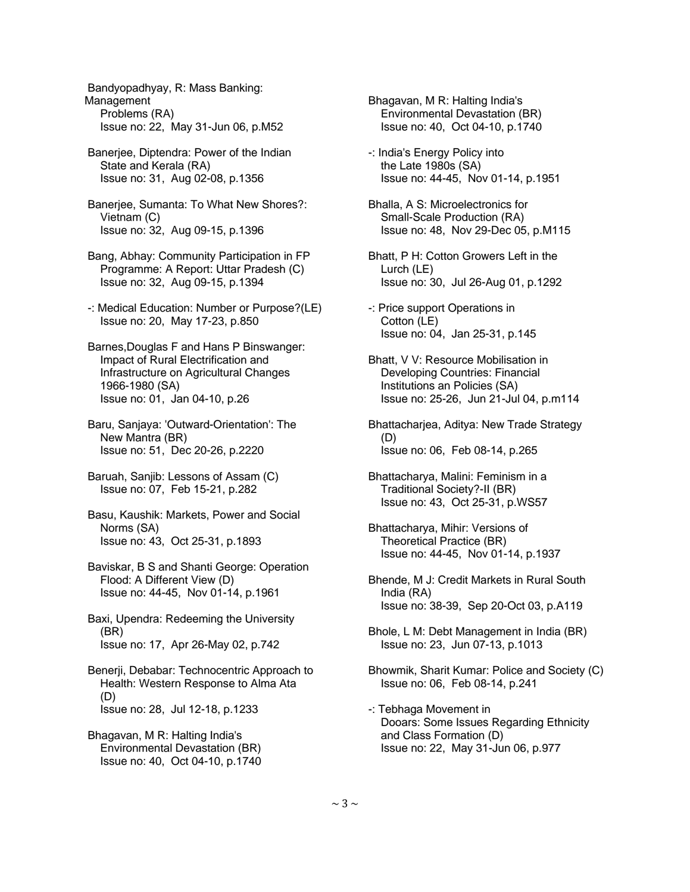Bandyopadhyay, R: Mass Banking: Management Problems (RA) Issue no: 22, May 31-Jun 06, p.M52

 Banerjee, Diptendra: Power of the Indian State and Kerala (RA) Issue no: 31, Aug 02-08, p.1356

 Banerjee, Sumanta: To What New Shores?: Vietnam (C) Issue no: 32, Aug 09-15, p.1396

 Bang, Abhay: Community Participation in FP Programme: A Report: Uttar Pradesh (C) Issue no: 32, Aug 09-15, p.1394

 -: Medical Education: Number or Purpose?(LE) Issue no: 20, May 17-23, p.850

 Barnes,Douglas F and Hans P Binswanger: Impact of Rural Electrification and Infrastructure on Agricultural Changes 1966-1980 (SA) Issue no: 01, Jan 04-10, p.26

 Baru, Sanjaya: 'Outward-Orientation': The New Mantra (BR) Issue no: 51, Dec 20-26, p.2220

 Baruah, Sanjib: Lessons of Assam (C) Issue no: 07, Feb 15-21, p.282

 Basu, Kaushik: Markets, Power and Social Norms (SA) Issue no: 43, Oct 25-31, p.1893

 Baviskar, B S and Shanti George: Operation Flood: A Different View (D) Issue no: 44-45, Nov 01-14, p.1961

 Baxi, Upendra: Redeeming the University (BR) Issue no: 17, Apr 26-May 02, p.742

 Benerji, Debabar: Technocentric Approach to Health: Western Response to Alma Ata (D) Issue no: 28, Jul 12-18, p.1233

 Bhagavan, M R: Halting India's Environmental Devastation (BR) Issue no: 40, Oct 04-10, p.1740  Bhagavan, M R: Halting India's Environmental Devastation (BR) Issue no: 40, Oct 04-10, p.1740

 -: India's Energy Policy into the Late 1980s (SA) Issue no: 44-45, Nov 01-14, p.1951

 Bhalla, A S: Microelectronics for Small-Scale Production (RA) Issue no: 48, Nov 29-Dec 05, p.M115

- Bhatt, P H: Cotton Growers Left in the Lurch (LE) Issue no: 30, Jul 26-Aug 01, p.1292
- -: Price support Operations in Cotton (LE) Issue no: 04, Jan 25-31, p.145

 Bhatt, V V: Resource Mobilisation in Developing Countries: Financial Institutions an Policies (SA) Issue no: 25-26, Jun 21-Jul 04, p.m114

 Bhattacharjea, Aditya: New Trade Strategy (D) Issue no: 06, Feb 08-14, p.265

 Bhattacharya, Malini: Feminism in a Traditional Society?-II (BR) Issue no: 43, Oct 25-31, p.WS57

 Bhattacharya, Mihir: Versions of Theoretical Practice (BR) Issue no: 44-45, Nov 01-14, p.1937

 Bhende, M J: Credit Markets in Rural South India (RA) Issue no: 38-39, Sep 20-Oct 03, p.A119

 Bhole, L M: Debt Management in India (BR) Issue no: 23, Jun 07-13, p.1013

 Bhowmik, Sharit Kumar: Police and Society (C) Issue no: 06, Feb 08-14, p.241

 -: Tebhaga Movement in Dooars: Some Issues Regarding Ethnicity and Class Formation (D) Issue no: 22, May 31-Jun 06, p.977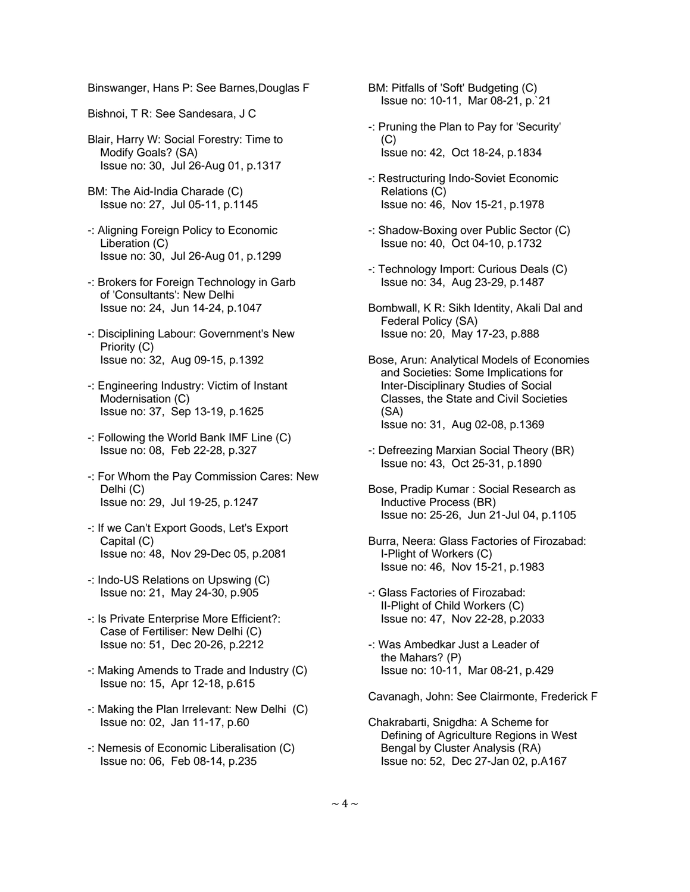Binswanger, Hans P: See Barnes,Douglas F

- Bishnoi, T R: See Sandesara, J C
- Blair, Harry W: Social Forestry: Time to Modify Goals? (SA) Issue no: 30, Jul 26-Aug 01, p.1317
- BM: The Aid-India Charade (C) Issue no: 27, Jul 05-11, p.1145
- -: Aligning Foreign Policy to Economic Liberation (C) Issue no: 30, Jul 26-Aug 01, p.1299
- -: Brokers for Foreign Technology in Garb of 'Consultants': New Delhi Issue no: 24, Jun 14-24, p.1047
- -: Disciplining Labour: Government's New Priority (C) Issue no: 32, Aug 09-15, p.1392
- -: Engineering Industry: Victim of Instant Modernisation (C) Issue no: 37, Sep 13-19, p.1625
- -: Following the World Bank IMF Line (C) Issue no: 08, Feb 22-28, p.327
- -: For Whom the Pay Commission Cares: New Delhi (C) Issue no: 29, Jul 19-25, p.1247
- -: If we Can't Export Goods, Let's Export Capital (C) Issue no: 48, Nov 29-Dec 05, p.2081
- -: Indo-US Relations on Upswing (C) Issue no: 21, May 24-30, p.905
- -: Is Private Enterprise More Efficient?: Case of Fertiliser: New Delhi (C) Issue no: 51, Dec 20-26, p.2212
- -: Making Amends to Trade and Industry (C) Issue no: 15, Apr 12-18, p.615
- -: Making the Plan Irrelevant: New Delhi (C) Issue no: 02, Jan 11-17, p.60
- -: Nemesis of Economic Liberalisation (C) Issue no: 06, Feb 08-14, p.235

 BM: Pitfalls of 'Soft' Budgeting (C) Issue no: 10-11, Mar 08-21, p.`21

- -: Pruning the Plan to Pay for 'Security' (C) Issue no: 42, Oct 18-24, p.1834
- -: Restructuring Indo-Soviet Economic Relations (C) Issue no: 46, Nov 15-21, p.1978
- -: Shadow-Boxing over Public Sector (C) Issue no: 40, Oct 04-10, p.1732
- -: Technology Import: Curious Deals (C) Issue no: 34, Aug 23-29, p.1487
- Bombwall, K R: Sikh Identity, Akali Dal and Federal Policy (SA) Issue no: 20, May 17-23, p.888
- Bose, Arun: Analytical Models of Economies and Societies: Some Implications for Inter-Disciplinary Studies of Social Classes, the State and Civil Societies (SA) Issue no: 31, Aug 02-08, p.1369
- -: Defreezing Marxian Social Theory (BR) Issue no: 43, Oct 25-31, p.1890
- Bose, Pradip Kumar : Social Research as Inductive Process (BR) Issue no: 25-26, Jun 21-Jul 04, p.1105
- Burra, Neera: Glass Factories of Firozabad: I-Plight of Workers (C) Issue no: 46, Nov 15-21, p.1983
- -: Glass Factories of Firozabad: II-Plight of Child Workers (C) Issue no: 47, Nov 22-28, p.2033
- -: Was Ambedkar Just a Leader of the Mahars? (P) Issue no: 10-11, Mar 08-21, p.429

Cavanagh, John: See Clairmonte, Frederick F

 Chakrabarti, Snigdha: A Scheme for Defining of Agriculture Regions in West Bengal by Cluster Analysis (RA) Issue no: 52, Dec 27-Jan 02, p.A167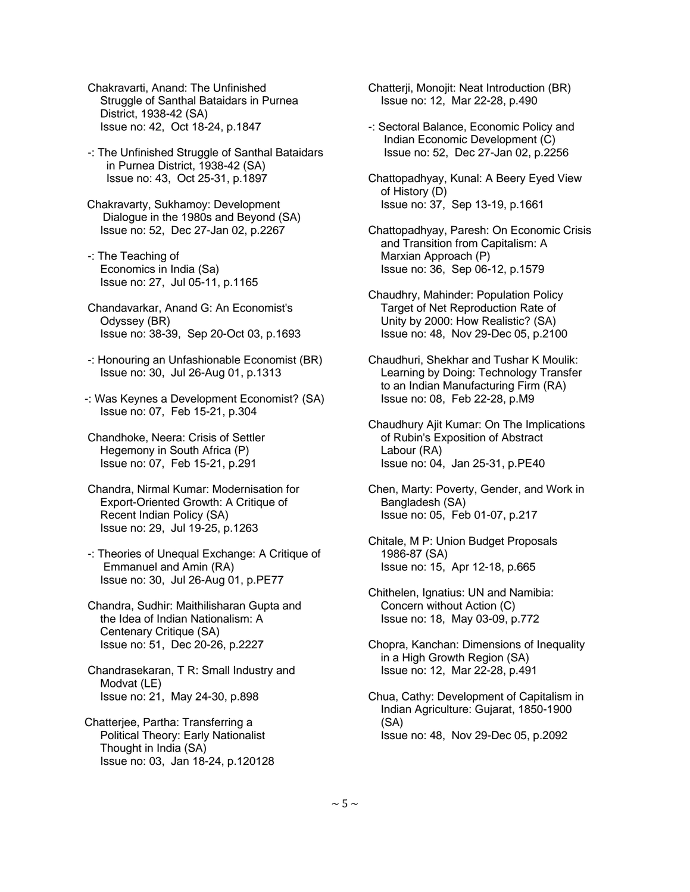Chakravarti, Anand: The Unfinished Struggle of Santhal Bataidars in Purnea District, 1938-42 (SA) Issue no: 42, Oct 18-24, p.1847

- -: The Unfinished Struggle of Santhal Bataidars in Purnea District, 1938-42 (SA) Issue no: 43, Oct 25-31, p.1897
- Chakravarty, Sukhamoy: Development Dialogue in the 1980s and Beyond (SA) Issue no: 52, Dec 27-Jan 02, p.2267
- -: The Teaching of Economics in India (Sa) Issue no: 27, Jul 05-11, p.1165
- Chandavarkar, Anand G: An Economist's Odyssey (BR) Issue no: 38-39, Sep 20-Oct 03, p.1693
- -: Honouring an Unfashionable Economist (BR) Issue no: 30, Jul 26-Aug 01, p.1313
- -: Was Keynes a Development Economist? (SA) Issue no: 07, Feb 15-21, p.304
- Chandhoke, Neera: Crisis of Settler Hegemony in South Africa (P) Issue no: 07, Feb 15-21, p.291
- Chandra, Nirmal Kumar: Modernisation for Export-Oriented Growth: A Critique of Recent Indian Policy (SA) Issue no: 29, Jul 19-25, p.1263
- -: Theories of Unequal Exchange: A Critique of Emmanuel and Amin (RA) Issue no: 30, Jul 26-Aug 01, p.PE77
- Chandra, Sudhir: Maithilisharan Gupta and the Idea of Indian Nationalism: A Centenary Critique (SA) Issue no: 51, Dec 20-26, p.2227
- Chandrasekaran, T R: Small Industry and Modvat (LE) Issue no: 21, May 24-30, p.898
- Chatterjee, Partha: Transferring a Political Theory: Early Nationalist Thought in India (SA) Issue no: 03, Jan 18-24, p.120128

 Chatterji, Monojit: Neat Introduction (BR) Issue no: 12, Mar 22-28, p.490

- -: Sectoral Balance, Economic Policy and Indian Economic Development (C) Issue no: 52, Dec 27-Jan 02, p.2256
- Chattopadhyay, Kunal: A Beery Eyed View of History (D) Issue no: 37, Sep 13-19, p.1661
- Chattopadhyay, Paresh: On Economic Crisis and Transition from Capitalism: A Marxian Approach (P) Issue no: 36, Sep 06-12, p.1579
- Chaudhry, Mahinder: Population Policy Target of Net Reproduction Rate of Unity by 2000: How Realistic? (SA) Issue no: 48, Nov 29-Dec 05, p.2100
- Chaudhuri, Shekhar and Tushar K Moulik: Learning by Doing: Technology Transfer to an Indian Manufacturing Firm (RA) Issue no: 08, Feb 22-28, p.M9
- Chaudhury Ajit Kumar: On The Implications of Rubin's Exposition of Abstract Labour (RA) Issue no: 04, Jan 25-31, p.PE40
- Chen, Marty: Poverty, Gender, and Work in Bangladesh (SA) Issue no: 05, Feb 01-07, p.217
- Chitale, M P: Union Budget Proposals 1986-87 (SA) Issue no: 15, Apr 12-18, p.665
- Chithelen, Ignatius: UN and Namibia: Concern without Action (C) Issue no: 18, May 03-09, p.772
- Chopra, Kanchan: Dimensions of Inequality in a High Growth Region (SA) Issue no: 12, Mar 22-28, p.491
- Chua, Cathy: Development of Capitalism in Indian Agriculture: Gujarat, 1850-1900 (SA) Issue no: 48, Nov 29-Dec 05, p.2092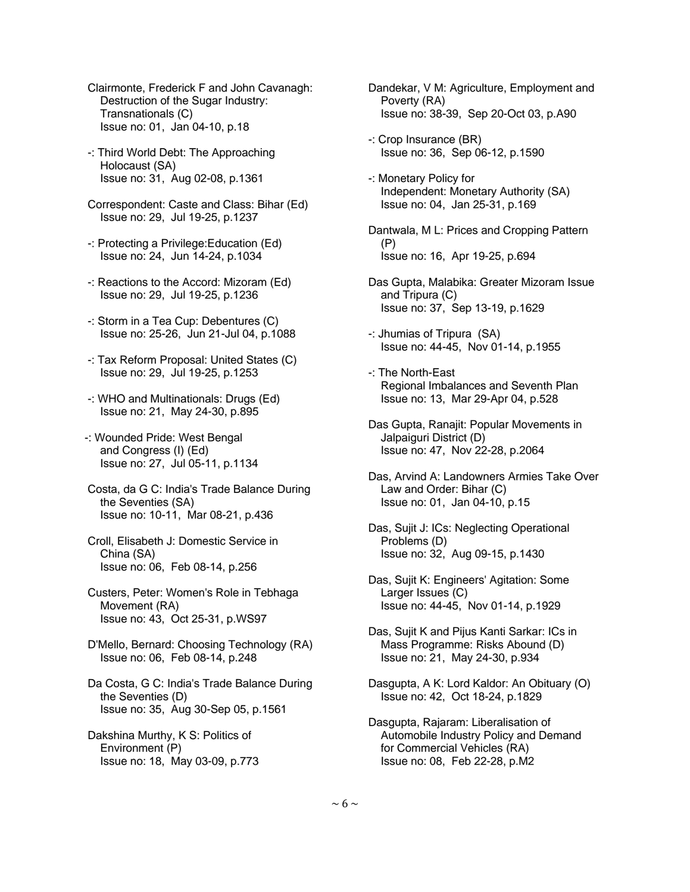- Clairmonte, Frederick F and John Cavanagh: Destruction of the Sugar Industry: Transnationals (C) Issue no: 01, Jan 04-10, p.18
- -: Third World Debt: The Approaching Holocaust (SA) Issue no: 31, Aug 02-08, p.1361
- Correspondent: Caste and Class: Bihar (Ed) Issue no: 29, Jul 19-25, p.1237
- -: Protecting a Privilege:Education (Ed) Issue no: 24, Jun 14-24, p.1034
- -: Reactions to the Accord: Mizoram (Ed) Issue no: 29, Jul 19-25, p.1236
- -: Storm in a Tea Cup: Debentures (C) Issue no: 25-26, Jun 21-Jul 04, p.1088
- -: Tax Reform Proposal: United States (C) Issue no: 29, Jul 19-25, p.1253
- -: WHO and Multinationals: Drugs (Ed) Issue no: 21, May 24-30, p.895
- -: Wounded Pride: West Bengal and Congress (I) (Ed) Issue no: 27, Jul 05-11, p.1134
- Costa, da G C: India's Trade Balance During the Seventies (SA) Issue no: 10-11, Mar 08-21, p.436
- Croll, Elisabeth J: Domestic Service in China (SA) Issue no: 06, Feb 08-14, p.256
- Custers, Peter: Women's Role in Tebhaga Movement (RA) Issue no: 43, Oct 25-31, p.WS97
- D'Mello, Bernard: Choosing Technology (RA) Issue no: 06, Feb 08-14, p.248
- Da Costa, G C: India's Trade Balance During the Seventies (D) Issue no: 35, Aug 30-Sep 05, p.1561
- Dakshina Murthy, K S: Politics of Environment (P) Issue no: 18, May 03-09, p.773
- Dandekar, V M: Agriculture, Employment and Poverty (RA) Issue no: 38-39, Sep 20-Oct 03, p.A90
- -: Crop Insurance (BR) Issue no: 36, Sep 06-12, p.1590
- -: Monetary Policy for Independent: Monetary Authority (SA) Issue no: 04, Jan 25-31, p.169
- Dantwala, M L: Prices and Cropping Pattern (P) Issue no: 16, Apr 19-25, p.694
- Das Gupta, Malabika: Greater Mizoram Issue and Tripura (C) Issue no: 37, Sep 13-19, p.1629
- -: Jhumias of Tripura (SA) Issue no: 44-45, Nov 01-14, p.1955
- -: The North-East Regional Imbalances and Seventh Plan Issue no: 13, Mar 29-Apr 04, p.528
- Das Gupta, Ranajit: Popular Movements in Jalpaiguri District (D) Issue no: 47, Nov 22-28, p.2064
- Das, Arvind A: Landowners Armies Take Over Law and Order: Bihar (C) Issue no: 01, Jan 04-10, p.15
- Das, Sujit J: ICs: Neglecting Operational Problems (D) Issue no: 32, Aug 09-15, p.1430
- Das, Sujit K: Engineers' Agitation: Some Larger Issues (C) Issue no: 44-45, Nov 01-14, p.1929
- Das, Sujit K and Pijus Kanti Sarkar: ICs in Mass Programme: Risks Abound (D) Issue no: 21, May 24-30, p.934
- Dasgupta, A K: Lord Kaldor: An Obituary (O) Issue no: 42, Oct 18-24, p.1829
- Dasgupta, Rajaram: Liberalisation of Automobile Industry Policy and Demand for Commercial Vehicles (RA) Issue no: 08, Feb 22-28, p.M2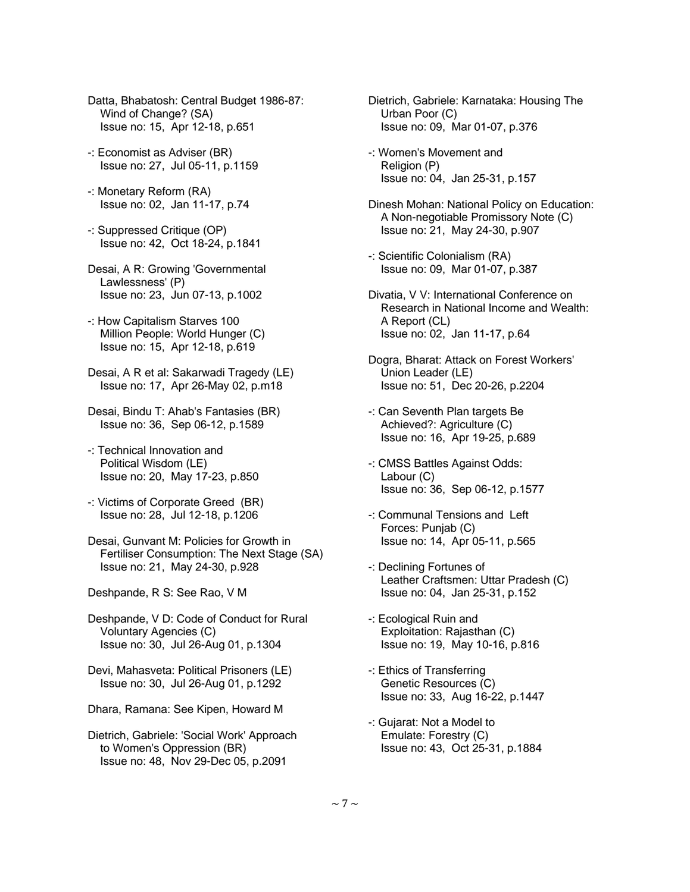- Datta, Bhabatosh: Central Budget 1986-87: Wind of Change? (SA) Issue no: 15, Apr 12-18, p.651
- -: Economist as Adviser (BR) Issue no: 27, Jul 05-11, p.1159
- -: Monetary Reform (RA) Issue no: 02, Jan 11-17, p.74
- -: Suppressed Critique (OP) Issue no: 42, Oct 18-24, p.1841
- Desai, A R: Growing 'Governmental Lawlessness' (P) Issue no: 23, Jun 07-13, p.1002
- -: How Capitalism Starves 100 Million People: World Hunger (C) Issue no: 15, Apr 12-18, p.619
- Desai, A R et al: Sakarwadi Tragedy (LE) Issue no: 17, Apr 26-May 02, p.m18
- Desai, Bindu T: Ahab's Fantasies (BR) Issue no: 36, Sep 06-12, p.1589
- -: Technical Innovation and Political Wisdom (LE) Issue no: 20, May 17-23, p.850
- -: Victims of Corporate Greed (BR) Issue no: 28, Jul 12-18, p.1206
- Desai, Gunvant M: Policies for Growth in Fertiliser Consumption: The Next Stage (SA) Issue no: 21, May 24-30, p.928
- Deshpande, R S: See Rao, V M
- Deshpande, V D: Code of Conduct for Rural Voluntary Agencies (C) Issue no: 30, Jul 26-Aug 01, p.1304
- Devi, Mahasveta: Political Prisoners (LE) Issue no: 30, Jul 26-Aug 01, p.1292
- Dhara, Ramana: See Kipen, Howard M
- Dietrich, Gabriele: 'Social Work' Approach to Women's Oppression (BR) Issue no: 48, Nov 29-Dec 05, p.2091
- Dietrich, Gabriele: Karnataka: Housing The Urban Poor (C) Issue no: 09, Mar 01-07, p.376
- -: Women's Movement and Religion (P) Issue no: 04, Jan 25-31, p.157
- Dinesh Mohan: National Policy on Education: A Non-negotiable Promissory Note (C) Issue no: 21, May 24-30, p.907
- -: Scientific Colonialism (RA) Issue no: 09, Mar 01-07, p.387
- Divatia, V V: International Conference on Research in National Income and Wealth: A Report (CL) Issue no: 02, Jan 11-17, p.64
- Dogra, Bharat: Attack on Forest Workers' Union Leader (LE) Issue no: 51, Dec 20-26, p.2204
- -: Can Seventh Plan targets Be Achieved?: Agriculture (C) Issue no: 16, Apr 19-25, p.689
- -: CMSS Battles Against Odds: Labour (C) Issue no: 36, Sep 06-12, p.1577
- -: Communal Tensions and Left Forces: Punjab (C) Issue no: 14, Apr 05-11, p.565
- -: Declining Fortunes of Leather Craftsmen: Uttar Pradesh (C) Issue no: 04, Jan 25-31, p.152
- -: Ecological Ruin and Exploitation: Rajasthan (C) Issue no: 19, May 10-16, p.816
- -: Ethics of Transferring Genetic Resources (C) Issue no: 33, Aug 16-22, p.1447
- -: Gujarat: Not a Model to Emulate: Forestry (C) Issue no: 43, Oct 25-31, p.1884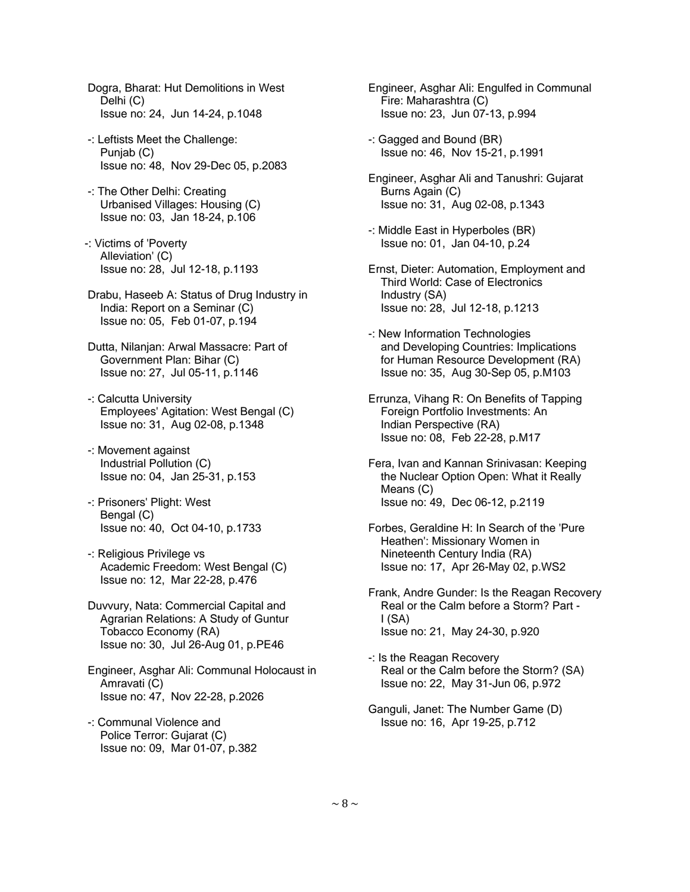Dogra, Bharat: Hut Demolitions in West Delhi (C) Issue no: 24, Jun 14-24, p.1048

- -: Leftists Meet the Challenge: Punjab (C) Issue no: 48, Nov 29-Dec 05, p.2083
- -: The Other Delhi: Creating Urbanised Villages: Housing (C) Issue no: 03, Jan 18-24, p.106
- -: Victims of 'Poverty Alleviation' (C) Issue no: 28, Jul 12-18, p.1193
- Drabu, Haseeb A: Status of Drug Industry in India: Report on a Seminar (C) Issue no: 05, Feb 01-07, p.194
- Dutta, Nilanjan: Arwal Massacre: Part of Government Plan: Bihar (C) Issue no: 27, Jul 05-11, p.1146
- -: Calcutta University Employees' Agitation: West Bengal (C) Issue no: 31, Aug 02-08, p.1348
- -: Movement against Industrial Pollution (C) Issue no: 04, Jan 25-31, p.153
- -: Prisoners' Plight: West Bengal (C) Issue no: 40, Oct 04-10, p.1733
- -: Religious Privilege vs Academic Freedom: West Bengal (C) Issue no: 12, Mar 22-28, p.476
- Duvvury, Nata: Commercial Capital and Agrarian Relations: A Study of Guntur Tobacco Economy (RA) Issue no: 30, Jul 26-Aug 01, p.PE46
- Engineer, Asghar Ali: Communal Holocaust in Amravati (C) Issue no: 47, Nov 22-28, p.2026
- -: Communal Violence and Police Terror: Gujarat (C) Issue no: 09, Mar 01-07, p.382
- Engineer, Asghar Ali: Engulfed in Communal Fire: Maharashtra (C) Issue no: 23, Jun 07-13, p.994
- -: Gagged and Bound (BR) Issue no: 46, Nov 15-21, p.1991
- Engineer, Asghar Ali and Tanushri: Gujarat Burns Again (C) Issue no: 31, Aug 02-08, p.1343
- -: Middle East in Hyperboles (BR) Issue no: 01, Jan 04-10, p.24
- Ernst, Dieter: Automation, Employment and Third World: Case of Electronics Industry (SA) Issue no: 28, Jul 12-18, p.1213
- -: New Information Technologies and Developing Countries: Implications for Human Resource Development (RA) Issue no: 35, Aug 30-Sep 05, p.M103
- Errunza, Vihang R: On Benefits of Tapping Foreign Portfolio Investments: An Indian Perspective (RA) Issue no: 08, Feb 22-28, p.M17
- Fera, Ivan and Kannan Srinivasan: Keeping the Nuclear Option Open: What it Really Means (C) Issue no: 49, Dec 06-12, p.2119
- Forbes, Geraldine H: In Search of the 'Pure Heathen': Missionary Women in Nineteenth Century India (RA) Issue no: 17, Apr 26-May 02, p.WS2
- Frank, Andre Gunder: Is the Reagan Recovery Real or the Calm before a Storm? Part - I (SA) Issue no: 21, May 24-30, p.920
- -: Is the Reagan Recovery Real or the Calm before the Storm? (SA) Issue no: 22, May 31-Jun 06, p.972
- Ganguli, Janet: The Number Game (D) Issue no: 16, Apr 19-25, p.712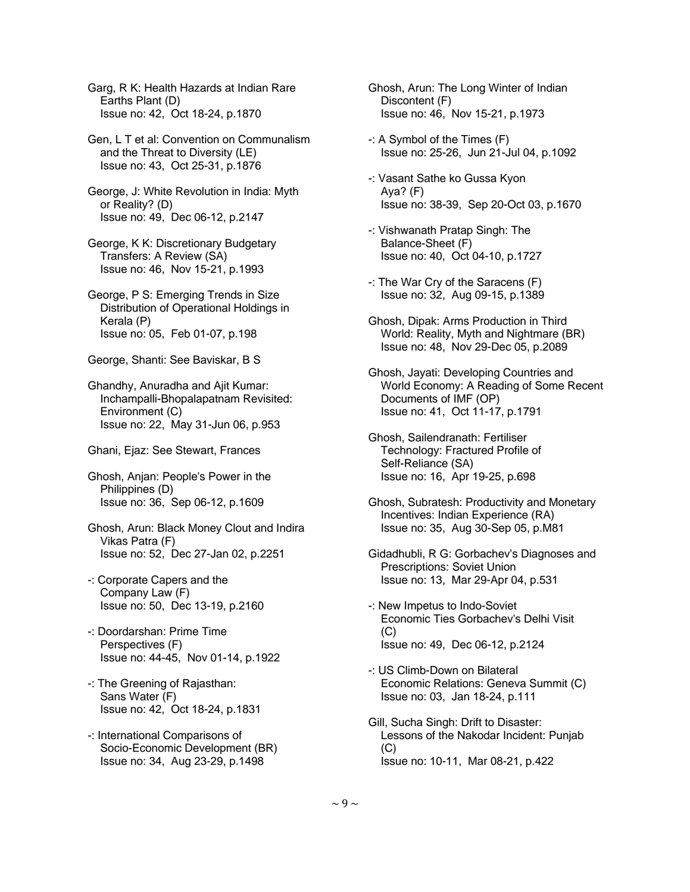Garg, R K: Health Hazards at Indian Rare Earths Plant (D) Issue no: 42, Oct 18-24, p.1870

 Gen, L T et al: Convention on Communalism and the Threat to Diversity (LE) Issue no: 43, Oct 25-31, p.1876

 George, J: White Revolution in India: Myth or Reality? (D) Issue no: 49, Dec 06-12, p.2147

- George, K K: Discretionary Budgetary Transfers: A Review (SA) Issue no: 46, Nov 15-21, p.1993
- George, P S: Emerging Trends in Size Distribution of Operational Holdings in Kerala (P) Issue no: 05, Feb 01-07, p.198
- George, Shanti: See Baviskar, B S

 Ghandhy, Anuradha and Ajit Kumar: Inchampalli-Bhopalapatnam Revisited: Environment (C) Issue no: 22, May 31-Jun 06, p.953

- Ghani, Ejaz: See Stewart, Frances
- Ghosh, Anjan: People's Power in the Philippines (D) Issue no: 36, Sep 06-12, p.1609
- Ghosh, Arun: Black Money Clout and Indira Vikas Patra (F) Issue no: 52, Dec 27-Jan 02, p.2251
- -: Corporate Capers and the Company Law (F) Issue no: 50, Dec 13-19, p.2160
- -: Doordarshan: Prime Time Perspectives (F) Issue no: 44-45, Nov 01-14, p.1922
- -: The Greening of Rajasthan: Sans Water (F) Issue no: 42, Oct 18-24, p.1831
- -: International Comparisons of Socio-Economic Development (BR) Issue no: 34, Aug 23-29, p.1498
- Ghosh, Arun: The Long Winter of Indian Discontent (F) Issue no: 46, Nov 15-21, p.1973
- -: A Symbol of the Times (F) Issue no: 25-26, Jun 21-Jul 04, p.1092
- -: Vasant Sathe ko Gussa Kyon Aya? (F) Issue no: 38-39, Sep 20-Oct 03, p.1670
- -: Vishwanath Pratap Singh: The Balance-Sheet (F) Issue no: 40, Oct 04-10, p.1727
- -: The War Cry of the Saracens (F) Issue no: 32, Aug 09-15, p.1389
- Ghosh, Dipak: Arms Production in Third World: Reality, Myth and Nightmare (BR) Issue no: 48, Nov 29-Dec 05, p.2089
- Ghosh, Jayati: Developing Countries and World Economy: A Reading of Some Recent Documents of IMF (OP) Issue no: 41, Oct 11-17, p.1791
- Ghosh, Sailendranath: Fertiliser Technology: Fractured Profile of Self-Reliance (SA) Issue no: 16, Apr 19-25, p.698
- Ghosh, Subratesh: Productivity and Monetary Incentives: Indian Experience (RA) Issue no: 35, Aug 30-Sep 05, p.M81
- Gidadhubli, R G: Gorbachev's Diagnoses and Prescriptions: Soviet Union Issue no: 13, Mar 29-Apr 04, p.531
- -: New Impetus to Indo-Soviet Economic Ties Gorbachev's Delhi Visit  $(C)$ Issue no: 49, Dec 06-12, p.2124
- -: US Climb-Down on Bilateral Economic Relations: Geneva Summit (C) Issue no: 03, Jan 18-24, p.111
- Gill, Sucha Singh: Drift to Disaster: Lessons of the Nakodar Incident: Punjab (C) Issue no: 10-11, Mar 08-21, p.422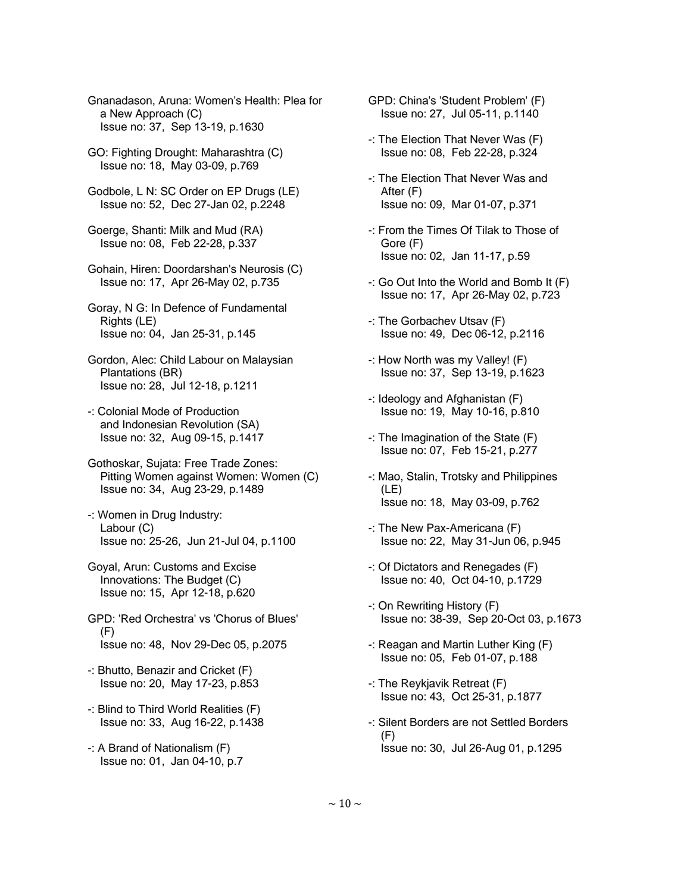Gnanadason, Aruna: Women's Health: Plea for a New Approach (C) Issue no: 37, Sep 13-19, p.1630

- GO: Fighting Drought: Maharashtra (C) Issue no: 18, May 03-09, p.769
- Godbole, L N: SC Order on EP Drugs (LE) Issue no: 52, Dec 27-Jan 02, p.2248
- Goerge, Shanti: Milk and Mud (RA) Issue no: 08, Feb 22-28, p.337
- Gohain, Hiren: Doordarshan's Neurosis (C) Issue no: 17, Apr 26-May 02, p.735
- Goray, N G: In Defence of Fundamental Rights (LE) Issue no: 04, Jan 25-31, p.145
- Gordon, Alec: Child Labour on Malaysian Plantations (BR) Issue no: 28, Jul 12-18, p.1211
- -: Colonial Mode of Production and Indonesian Revolution (SA) Issue no: 32, Aug 09-15, p.1417
- Gothoskar, Sujata: Free Trade Zones: Pitting Women against Women: Women (C) Issue no: 34, Aug 23-29, p.1489
- -: Women in Drug Industry: Labour (C) Issue no: 25-26, Jun 21-Jul 04, p.1100
- Goyal, Arun: Customs and Excise Innovations: The Budget (C) Issue no: 15, Apr 12-18, p.620
- GPD: 'Red Orchestra' vs 'Chorus of Blues' (F) Issue no: 48, Nov 29-Dec 05, p.2075
- -: Bhutto, Benazir and Cricket (F) Issue no: 20, May 17-23, p.853
- -: Blind to Third World Realities (F) Issue no: 33, Aug 16-22, p.1438
- -: A Brand of Nationalism (F) Issue no: 01, Jan 04-10, p.7
- GPD: China's 'Student Problem' (F) Issue no: 27, Jul 05-11, p.1140
- -: The Election That Never Was (F) Issue no: 08, Feb 22-28, p.324
- -: The Election That Never Was and After (F) Issue no: 09, Mar 01-07, p.371
- -: From the Times Of Tilak to Those of Gore (F) Issue no: 02, Jan 11-17, p.59
- -: Go Out Into the World and Bomb It (F) Issue no: 17, Apr 26-May 02, p.723
- -: The Gorbachev Utsav (F) Issue no: 49, Dec 06-12, p.2116
- -: How North was my Valley! (F) Issue no: 37, Sep 13-19, p.1623
- -: Ideology and Afghanistan (F) Issue no: 19, May 10-16, p.810
- -: The Imagination of the State (F) Issue no: 07, Feb 15-21, p.277
- -: Mao, Stalin, Trotsky and Philippines (LE) Issue no: 18, May 03-09, p.762
- -: The New Pax-Americana (F) Issue no: 22, May 31-Jun 06, p.945
- -: Of Dictators and Renegades (F) Issue no: 40, Oct 04-10, p.1729
- -: On Rewriting History (F) Issue no: 38-39, Sep 20-Oct 03, p.1673
- -: Reagan and Martin Luther King (F) Issue no: 05, Feb 01-07, p.188
- -: The Reykjavik Retreat (F) Issue no: 43, Oct 25-31, p.1877
- -: Silent Borders are not Settled Borders  $(F)$ Issue no: 30, Jul 26-Aug 01, p.1295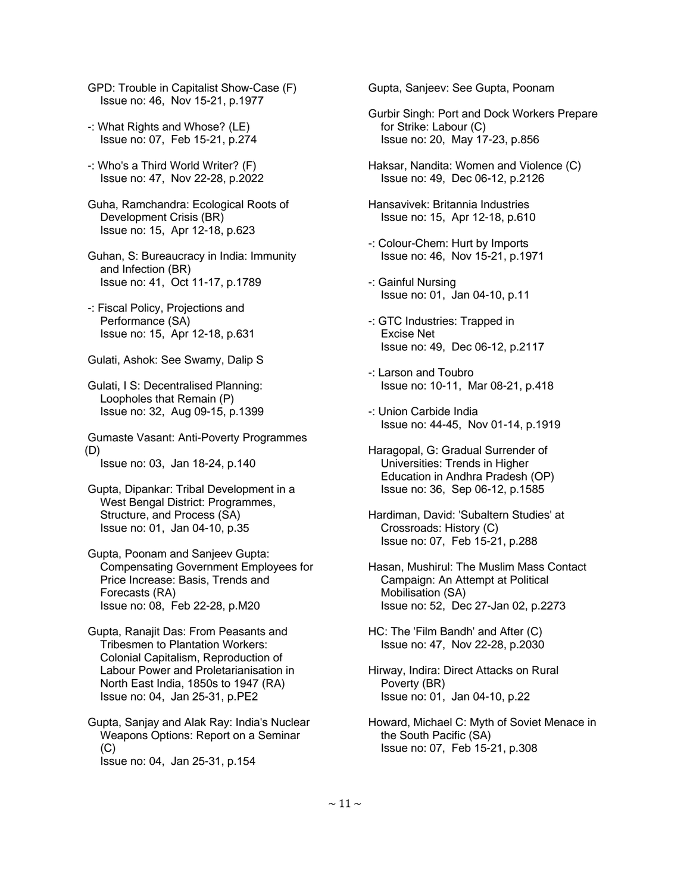GPD: Trouble in Capitalist Show-Case (F) Issue no: 46, Nov 15-21, p.1977

- -: What Rights and Whose? (LE) Issue no: 07, Feb 15-21, p.274
- -: Who's a Third World Writer? (F) Issue no: 47, Nov 22-28, p.2022
- Guha, Ramchandra: Ecological Roots of Development Crisis (BR) Issue no: 15, Apr 12-18, p.623
- Guhan, S: Bureaucracy in India: Immunity and Infection (BR) Issue no: 41, Oct 11-17, p.1789
- -: Fiscal Policy, Projections and Performance (SA) Issue no: 15, Apr 12-18, p.631
- Gulati, Ashok: See Swamy, Dalip S
- Gulati, I S: Decentralised Planning: Loopholes that Remain (P) Issue no: 32, Aug 09-15, p.1399

 Gumaste Vasant: Anti-Poverty Programmes (D)

Issue no: 03, Jan 18-24, p.140

- Gupta, Dipankar: Tribal Development in a West Bengal District: Programmes, Structure, and Process (SA) Issue no: 01, Jan 04-10, p.35
- Gupta, Poonam and Sanjeev Gupta: Compensating Government Employees for Price Increase: Basis, Trends and Forecasts (RA) Issue no: 08, Feb 22-28, p.M20
- Gupta, Ranajit Das: From Peasants and Tribesmen to Plantation Workers: Colonial Capitalism, Reproduction of Labour Power and Proletarianisation in North East India, 1850s to 1947 (RA) Issue no: 04, Jan 25-31, p.PE2
- Gupta, Sanjay and Alak Ray: India's Nuclear Weapons Options: Report on a Seminar (C) Issue no: 04, Jan 25-31, p.154

Gupta, Sanjeev: See Gupta, Poonam

- Gurbir Singh: Port and Dock Workers Prepare for Strike: Labour (C) Issue no: 20, May 17-23, p.856
- Haksar, Nandita: Women and Violence (C) Issue no: 49, Dec 06-12, p.2126
- Hansavivek: Britannia Industries Issue no: 15, Apr 12-18, p.610
- -: Colour-Chem: Hurt by Imports Issue no: 46, Nov 15-21, p.1971
- -: Gainful Nursing Issue no: 01, Jan 04-10, p.11
- -: GTC Industries: Trapped in Excise Net Issue no: 49, Dec 06-12, p.2117
- -: Larson and Toubro Issue no: 10-11, Mar 08-21, p.418
- -: Union Carbide India Issue no: 44-45, Nov 01-14, p.1919
- Haragopal, G: Gradual Surrender of Universities: Trends in Higher Education in Andhra Pradesh (OP) Issue no: 36, Sep 06-12, p.1585
- Hardiman, David: 'Subaltern Studies' at Crossroads: History (C) Issue no: 07, Feb 15-21, p.288
- Hasan, Mushirul: The Muslim Mass Contact Campaign: An Attempt at Political Mobilisation (SA) Issue no: 52, Dec 27-Jan 02, p.2273
- HC: The 'Film Bandh' and After (C) Issue no: 47, Nov 22-28, p.2030
- Hirway, Indira: Direct Attacks on Rural Poverty (BR) Issue no: 01, Jan 04-10, p.22
- Howard, Michael C: Myth of Soviet Menace in the South Pacific (SA) Issue no: 07, Feb 15-21, p.308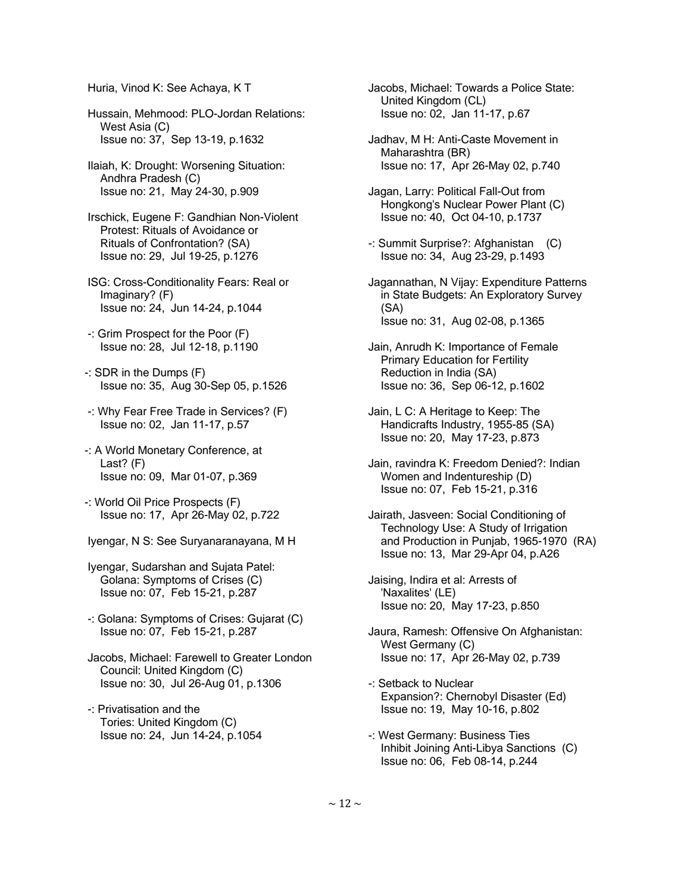Huria, Vinod K: See Achaya, K T

 Hussain, Mehmood: PLO-Jordan Relations: West Asia (C) Issue no: 37, Sep 13-19, p.1632

 Ilaiah, K: Drought: Worsening Situation: Andhra Pradesh (C) Issue no: 21, May 24-30, p.909

 Irschick, Eugene F: Gandhian Non-Violent Protest: Rituals of Avoidance or Rituals of Confrontation? (SA) Issue no: 29, Jul 19-25, p.1276

 ISG: Cross-Conditionality Fears: Real or Imaginary? (F) Issue no: 24, Jun 14-24, p.1044

 -: Grim Prospect for the Poor (F) Issue no: 28, Jul 12-18, p.1190

-: SDR in the Dumps (F) Issue no: 35, Aug 30-Sep 05, p.1526

- -: Why Fear Free Trade in Services? (F) Issue no: 02, Jan 11-17, p.57
- -: A World Monetary Conference, at Last? (F) Issue no: 09, Mar 01-07, p.369
- -: World Oil Price Prospects (F) Issue no: 17, Apr 26-May 02, p.722
- Iyengar, N S: See Suryanaranayana, M H

 Iyengar, Sudarshan and Sujata Patel: Golana: Symptoms of Crises (C) Issue no: 07, Feb 15-21, p.287

 -: Golana: Symptoms of Crises: Gujarat (C) Issue no: 07, Feb 15-21, p.287

 Jacobs, Michael: Farewell to Greater London Council: United Kingdom (C) Issue no: 30, Jul 26-Aug 01, p.1306

 -: Privatisation and the Tories: United Kingdom (C) Issue no: 24, Jun 14-24, p.1054  Jacobs, Michael: Towards a Police State: United Kingdom (CL) Issue no: 02, Jan 11-17, p.67

 Jadhav, M H: Anti-Caste Movement in Maharashtra (BR) Issue no: 17, Apr 26-May 02, p.740

- Jagan, Larry: Political Fall-Out from Hongkong's Nuclear Power Plant (C) Issue no: 40, Oct 04-10, p.1737
- -: Summit Surprise?: Afghanistan (C) Issue no: 34, Aug 23-29, p.1493
- Jagannathan, N Vijay: Expenditure Patterns in State Budgets: An Exploratory Survey (SA) Issue no: 31, Aug 02-08, p.1365
- Jain, Anrudh K: Importance of Female Primary Education for Fertility Reduction in India (SA) Issue no: 36, Sep 06-12, p.1602
- Jain, L C: A Heritage to Keep: The Handicrafts Industry, 1955-85 (SA) Issue no: 20, May 17-23, p.873
- Jain, ravindra K: Freedom Denied?: Indian Women and Indentureship (D) Issue no: 07, Feb 15-21, p.316
- Jairath, Jasveen: Social Conditioning of Technology Use: A Study of Irrigation and Production in Punjab, 1965-1970 (RA) Issue no: 13, Mar 29-Apr 04, p.A26

 Jaising, Indira et al: Arrests of 'Naxalites' (LE) Issue no: 20, May 17-23, p.850

- Jaura, Ramesh: Offensive On Afghanistan: West Germany (C) Issue no: 17, Apr 26-May 02, p.739
- -: Setback to Nuclear Expansion?: Chernobyl Disaster (Ed) Issue no: 19, May 10-16, p.802
- -: West Germany: Business Ties Inhibit Joining Anti-Libya Sanctions (C) Issue no: 06, Feb 08-14, p.244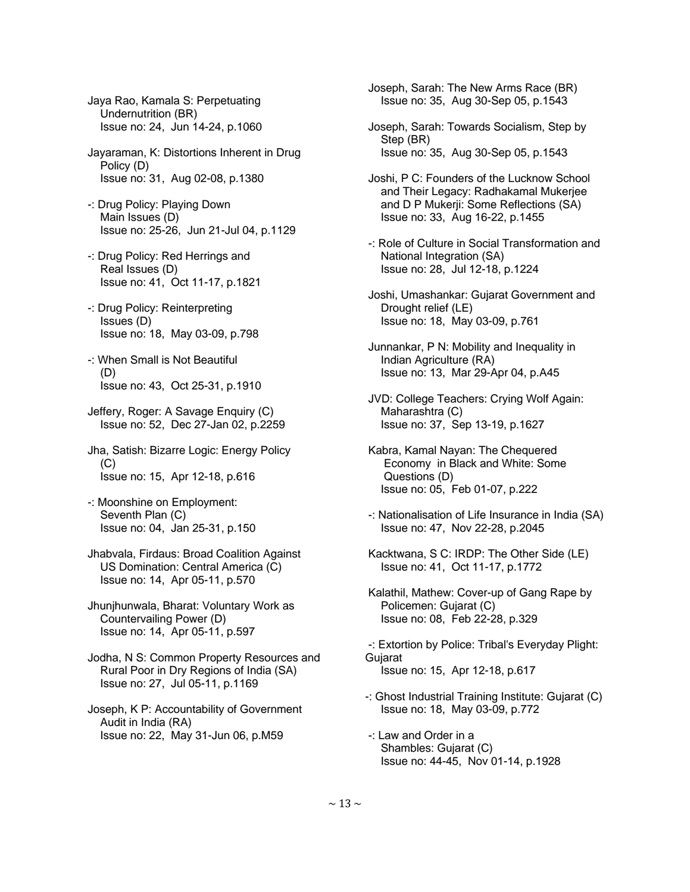Jaya Rao, Kamala S: Perpetuating Undernutrition (BR) Issue no: 24, Jun 14-24, p.1060

- Jayaraman, K: Distortions Inherent in Drug Policy (D) Issue no: 31, Aug 02-08, p.1380
- -: Drug Policy: Playing Down Main Issues (D) Issue no: 25-26, Jun 21-Jul 04, p.1129
- -: Drug Policy: Red Herrings and Real Issues (D) Issue no: 41, Oct 11-17, p.1821
- -: Drug Policy: Reinterpreting Issues (D) Issue no: 18, May 03-09, p.798
- -: When Small is Not Beautiful (D) Issue no: 43, Oct 25-31, p.1910
- Jeffery, Roger: A Savage Enquiry (C) Issue no: 52, Dec 27-Jan 02, p.2259
- Jha, Satish: Bizarre Logic: Energy Policy (C) Issue no: 15, Apr 12-18, p.616
- -: Moonshine on Employment: Seventh Plan (C) Issue no: 04, Jan 25-31, p.150
- Jhabvala, Firdaus: Broad Coalition Against US Domination: Central America (C) Issue no: 14, Apr 05-11, p.570
- Jhunjhunwala, Bharat: Voluntary Work as Countervailing Power (D) Issue no: 14, Apr 05-11, p.597
- Jodha, N S: Common Property Resources and Rural Poor in Dry Regions of India (SA) Issue no: 27, Jul 05-11, p.1169
- Joseph, K P: Accountability of Government Audit in India (RA) Issue no: 22, May 31-Jun 06, p.M59

 Joseph, Sarah: The New Arms Race (BR) Issue no: 35, Aug 30-Sep 05, p.1543

- Joseph, Sarah: Towards Socialism, Step by Step (BR) Issue no: 35, Aug 30-Sep 05, p.1543
- Joshi, P C: Founders of the Lucknow School and Their Legacy: Radhakamal Mukerjee and D P Mukerji: Some Reflections (SA) Issue no: 33, Aug 16-22, p.1455
- -: Role of Culture in Social Transformation and National Integration (SA) Issue no: 28, Jul 12-18, p.1224
- Joshi, Umashankar: Gujarat Government and Drought relief (LE) Issue no: 18, May 03-09, p.761
- Junnankar, P N: Mobility and Inequality in Indian Agriculture (RA) Issue no: 13, Mar 29-Apr 04, p.A45
- JVD: College Teachers: Crying Wolf Again: Maharashtra (C) Issue no: 37, Sep 13-19, p.1627
- Kabra, Kamal Nayan: The Chequered Economy in Black and White: Some Questions (D) Issue no: 05, Feb 01-07, p.222
- -: Nationalisation of Life Insurance in India (SA) Issue no: 47, Nov 22-28, p.2045
- Kacktwana, S C: IRDP: The Other Side (LE) Issue no: 41, Oct 11-17, p.1772
- Kalathil, Mathew: Cover-up of Gang Rape by Policemen: Gujarat (C) Issue no: 08, Feb 22-28, p.329
- -: Extortion by Police: Tribal's Everyday Plight: Gujarat Issue no: 15, Apr 12-18, p.617
- -: Ghost Industrial Training Institute: Gujarat (C) Issue no: 18, May 03-09, p.772
- -: Law and Order in a Shambles: Gujarat (C) Issue no: 44-45, Nov 01-14, p.1928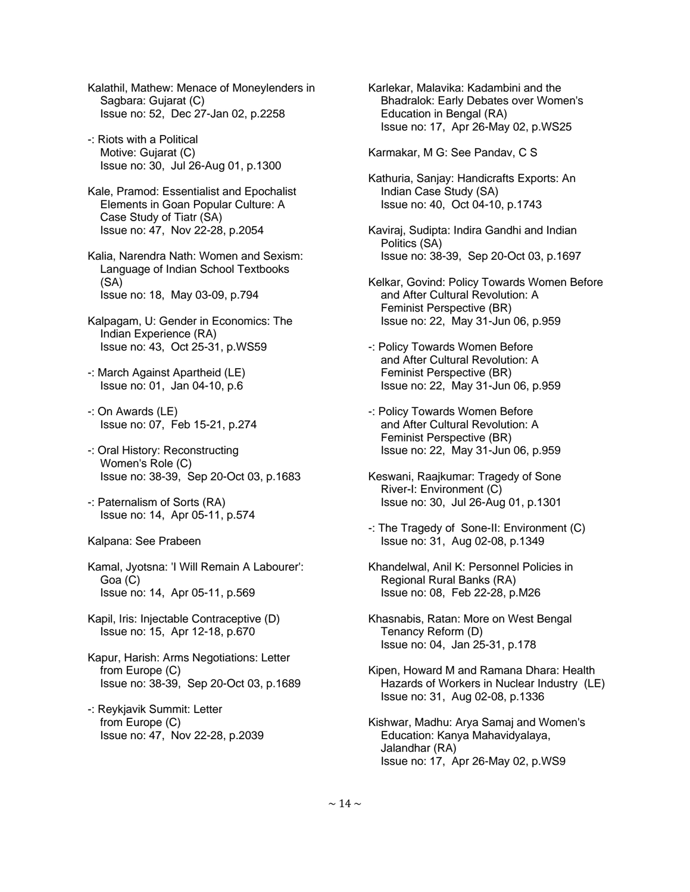- Kalathil, Mathew: Menace of Moneylenders in Sagbara: Gujarat (C) Issue no: 52, Dec 27-Jan 02, p.2258
- -: Riots with a Political Motive: Gujarat (C) Issue no: 30, Jul 26-Aug 01, p.1300
- Kale, Pramod: Essentialist and Epochalist Elements in Goan Popular Culture: A Case Study of Tiatr (SA) Issue no: 47, Nov 22-28, p.2054
- Kalia, Narendra Nath: Women and Sexism: Language of Indian School Textbooks (SA) Issue no: 18, May 03-09, p.794
- Kalpagam, U: Gender in Economics: The Indian Experience (RA) Issue no: 43, Oct 25-31, p.WS59
- -: March Against Apartheid (LE) Issue no: 01, Jan 04-10, p.6
- -: On Awards (LE) Issue no: 07, Feb 15-21, p.274
- -: Oral History: Reconstructing Women's Role (C) Issue no: 38-39, Sep 20-Oct 03, p.1683
- -: Paternalism of Sorts (RA) Issue no: 14, Apr 05-11, p.574
- Kalpana: See Prabeen
- Kamal, Jyotsna: 'I Will Remain A Labourer': Goa (C) Issue no: 14, Apr 05-11, p.569
- Kapil, Iris: Injectable Contraceptive (D) Issue no: 15, Apr 12-18, p.670
- Kapur, Harish: Arms Negotiations: Letter from Europe (C) Issue no: 38-39, Sep 20-Oct 03, p.1689
- -: Reykjavik Summit: Letter from Europe (C) Issue no: 47, Nov 22-28, p.2039

 Karlekar, Malavika: Kadambini and the Bhadralok: Early Debates over Women's Education in Bengal (RA) Issue no: 17, Apr 26-May 02, p.WS25

Karmakar, M G: See Pandav, C S

- Kathuria, Sanjay: Handicrafts Exports: An Indian Case Study (SA) Issue no: 40, Oct 04-10, p.1743
- Kaviraj, Sudipta: Indira Gandhi and Indian Politics (SA) Issue no: 38-39, Sep 20-Oct 03, p.1697
- Kelkar, Govind: Policy Towards Women Before and After Cultural Revolution: A Feminist Perspective (BR) Issue no: 22, May 31-Jun 06, p.959
- -: Policy Towards Women Before and After Cultural Revolution: A Feminist Perspective (BR) Issue no: 22, May 31-Jun 06, p.959
- -: Policy Towards Women Before and After Cultural Revolution: A Feminist Perspective (BR) Issue no: 22, May 31-Jun 06, p.959
- Keswani, Raajkumar: Tragedy of Sone River-I: Environment (C) Issue no: 30, Jul 26-Aug 01, p.1301
- -: The Tragedy of Sone-II: Environment (C) Issue no: 31, Aug 02-08, p.1349
- Khandelwal, Anil K: Personnel Policies in Regional Rural Banks (RA) Issue no: 08, Feb 22-28, p.M26
- Khasnabis, Ratan: More on West Bengal Tenancy Reform (D) Issue no: 04, Jan 25-31, p.178
- Kipen, Howard M and Ramana Dhara: Health Hazards of Workers in Nuclear Industry (LE) Issue no: 31, Aug 02-08, p.1336
- Kishwar, Madhu: Arya Samaj and Women's Education: Kanya Mahavidyalaya, Jalandhar (RA) Issue no: 17, Apr 26-May 02, p.WS9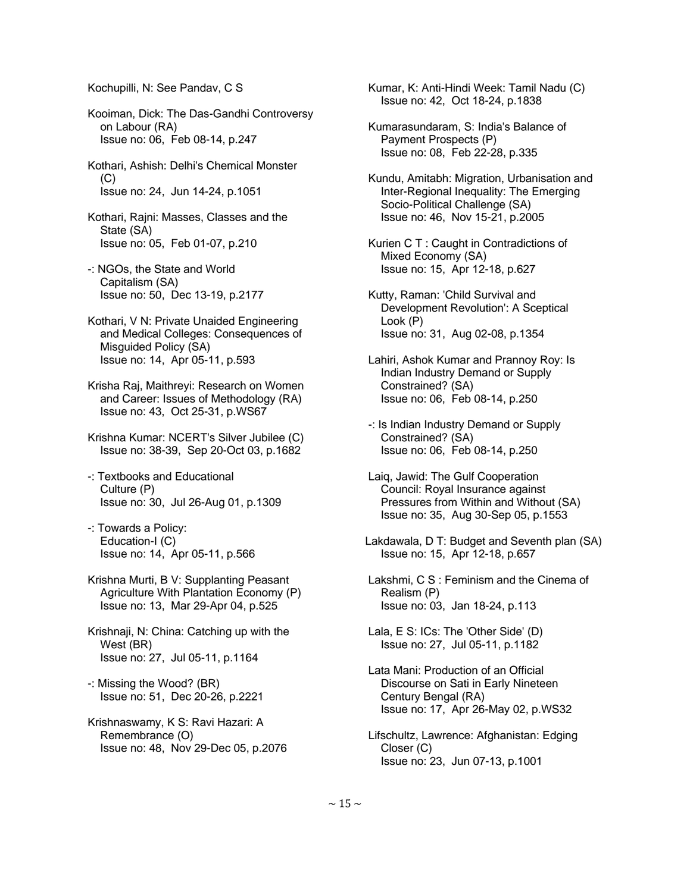Kochupilli, N: See Pandav, C S

 Kooiman, Dick: The Das-Gandhi Controversy on Labour (RA) Issue no: 06, Feb 08-14, p.247

 Kothari, Ashish: Delhi's Chemical Monster (C) Issue no: 24, Jun 14-24, p.1051

 Kothari, Rajni: Masses, Classes and the State (SA) Issue no: 05, Feb 01-07, p.210

- -: NGOs, the State and World Capitalism (SA) Issue no: 50, Dec 13-19, p.2177
- Kothari, V N: Private Unaided Engineering and Medical Colleges: Consequences of Misguided Policy (SA) Issue no: 14, Apr 05-11, p.593
- Krisha Raj, Maithreyi: Research on Women and Career: Issues of Methodology (RA) Issue no: 43, Oct 25-31, p.WS67
- Krishna Kumar: NCERT's Silver Jubilee (C) Issue no: 38-39, Sep 20-Oct 03, p.1682
- -: Textbooks and Educational Culture (P) Issue no: 30, Jul 26-Aug 01, p.1309
- -: Towards a Policy: Education-I (C) Issue no: 14, Apr 05-11, p.566
- Krishna Murti, B V: Supplanting Peasant Agriculture With Plantation Economy (P) Issue no: 13, Mar 29-Apr 04, p.525
- Krishnaji, N: China: Catching up with the West (BR) Issue no: 27, Jul 05-11, p.1164
- -: Missing the Wood? (BR) Issue no: 51, Dec 20-26, p.2221
- Krishnaswamy, K S: Ravi Hazari: A Remembrance (O) Issue no: 48, Nov 29-Dec 05, p.2076

 Kumar, K: Anti-Hindi Week: Tamil Nadu (C) Issue no: 42, Oct 18-24, p.1838

- Kumarasundaram, S: India's Balance of Payment Prospects (P) Issue no: 08, Feb 22-28, p.335
- Kundu, Amitabh: Migration, Urbanisation and Inter-Regional Inequality: The Emerging Socio-Political Challenge (SA) Issue no: 46, Nov 15-21, p.2005
- Kurien C T : Caught in Contradictions of Mixed Economy (SA) Issue no: 15, Apr 12-18, p.627
- Kutty, Raman: 'Child Survival and Development Revolution': A Sceptical Look (P) Issue no: 31, Aug 02-08, p.1354
- Lahiri, Ashok Kumar and Prannoy Roy: Is Indian Industry Demand or Supply Constrained? (SA) Issue no: 06, Feb 08-14, p.250
- -: Is Indian Industry Demand or Supply Constrained? (SA) Issue no: 06, Feb 08-14, p.250
- Laiq, Jawid: The Gulf Cooperation Council: Royal Insurance against Pressures from Within and Without (SA) Issue no: 35, Aug 30-Sep 05, p.1553
- Lakdawala, D T: Budget and Seventh plan (SA) Issue no: 15, Apr 12-18, p.657
- Lakshmi, C S : Feminism and the Cinema of Realism (P) Issue no: 03, Jan 18-24, p.113
- Lala, E S: ICs: The 'Other Side' (D) Issue no: 27, Jul 05-11, p.1182
- Lata Mani: Production of an Official Discourse on Sati in Early Nineteen Century Bengal (RA) Issue no: 17, Apr 26-May 02, p.WS32
- Lifschultz, Lawrence: Afghanistan: Edging Closer (C) Issue no: 23, Jun 07-13, p.1001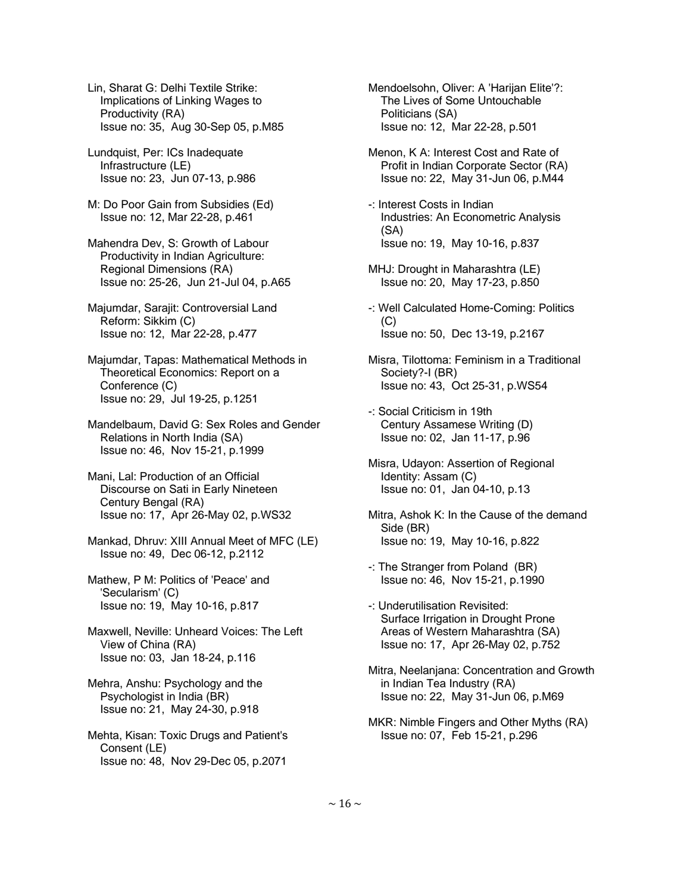Lin, Sharat G: Delhi Textile Strike: Implications of Linking Wages to Productivity (RA) Issue no: 35, Aug 30-Sep 05, p.M85

 Lundquist, Per: ICs Inadequate Infrastructure (LE) Issue no: 23, Jun 07-13, p.986

M: Do Poor Gain from Subsidies (Ed) Issue no: 12, Mar 22-28, p.461

 Mahendra Dev, S: Growth of Labour Productivity in Indian Agriculture: Regional Dimensions (RA) Issue no: 25-26, Jun 21-Jul 04, p.A65

 Majumdar, Sarajit: Controversial Land Reform: Sikkim (C) Issue no: 12, Mar 22-28, p.477

 Majumdar, Tapas: Mathematical Methods in Theoretical Economics: Report on a Conference (C) Issue no: 29, Jul 19-25, p.1251

 Mandelbaum, David G: Sex Roles and Gender Relations in North India (SA) Issue no: 46, Nov 15-21, p.1999

 Mani, Lal: Production of an Official Discourse on Sati in Early Nineteen Century Bengal (RA) Issue no: 17, Apr 26-May 02, p.WS32

 Mankad, Dhruv: XIII Annual Meet of MFC (LE) Issue no: 49, Dec 06-12, p.2112

 Mathew, P M: Politics of 'Peace' and 'Secularism' (C) Issue no: 19, May 10-16, p.817

 Maxwell, Neville: Unheard Voices: The Left View of China (RA) Issue no: 03, Jan 18-24, p.116

 Mehra, Anshu: Psychology and the Psychologist in India (BR) Issue no: 21, May 24-30, p.918

 Mehta, Kisan: Toxic Drugs and Patient's Consent (LE) Issue no: 48, Nov 29-Dec 05, p.2071

 Mendoelsohn, Oliver: A 'Harijan Elite'?: The Lives of Some Untouchable Politicians (SA) Issue no: 12, Mar 22-28, p.501

 Menon, K A: Interest Cost and Rate of Profit in Indian Corporate Sector (RA) Issue no: 22, May 31-Jun 06, p.M44

 -: Interest Costs in Indian Industries: An Econometric Analysis (SA) Issue no: 19, May 10-16, p.837

- MHJ: Drought in Maharashtra (LE) Issue no: 20, May 17-23, p.850
- -: Well Calculated Home-Coming: Politics  $(C)$ Issue no: 50, Dec 13-19, p.2167

 Misra, Tilottoma: Feminism in a Traditional Society?-I (BR) Issue no: 43, Oct 25-31, p.WS54

 -: Social Criticism in 19th Century Assamese Writing (D) Issue no: 02, Jan 11-17, p.96

 Misra, Udayon: Assertion of Regional Identity: Assam (C) Issue no: 01, Jan 04-10, p.13

 Mitra, Ashok K: In the Cause of the demand Side (BR) Issue no: 19, May 10-16, p.822

 -: The Stranger from Poland (BR) Issue no: 46, Nov 15-21, p.1990

 -: Underutilisation Revisited: Surface Irrigation in Drought Prone Areas of Western Maharashtra (SA) Issue no: 17, Apr 26-May 02, p.752

 Mitra, Neelanjana: Concentration and Growth in Indian Tea Industry (RA) Issue no: 22, May 31-Jun 06, p.M69

 MKR: Nimble Fingers and Other Myths (RA) Issue no: 07, Feb 15-21, p.296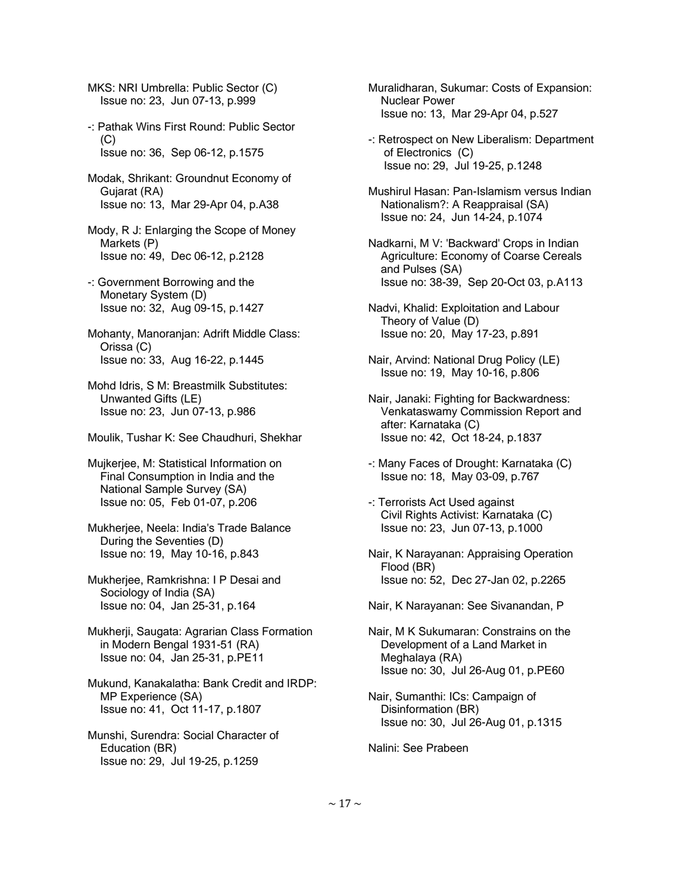MKS: NRI Umbrella: Public Sector (C) Issue no: 23, Jun 07-13, p.999

 -: Pathak Wins First Round: Public Sector (C) Issue no: 36, Sep 06-12, p.1575

 Modak, Shrikant: Groundnut Economy of Gujarat (RA) Issue no: 13, Mar 29-Apr 04, p.A38

 Mody, R J: Enlarging the Scope of Money Markets (P) Issue no: 49, Dec 06-12, p.2128

 -: Government Borrowing and the Monetary System (D) Issue no: 32, Aug 09-15, p.1427

 Mohanty, Manoranjan: Adrift Middle Class: Orissa (C) Issue no: 33, Aug 16-22, p.1445

 Mohd Idris, S M: Breastmilk Substitutes: Unwanted Gifts (LE) Issue no: 23, Jun 07-13, p.986

Moulik, Tushar K: See Chaudhuri, Shekhar

 Mujkerjee, M: Statistical Information on Final Consumption in India and the National Sample Survey (SA) Issue no: 05, Feb 01-07, p.206

 Mukherjee, Neela: India's Trade Balance During the Seventies (D) Issue no: 19, May 10-16, p.843

 Mukherjee, Ramkrishna: I P Desai and Sociology of India (SA) Issue no: 04, Jan 25-31, p.164

 Mukherji, Saugata: Agrarian Class Formation in Modern Bengal 1931-51 (RA) Issue no: 04, Jan 25-31, p.PE11

 Mukund, Kanakalatha: Bank Credit and IRDP: MP Experience (SA) Issue no: 41, Oct 11-17, p.1807

 Munshi, Surendra: Social Character of Education (BR) Issue no: 29, Jul 19-25, p.1259

 Muralidharan, Sukumar: Costs of Expansion: Nuclear Power Issue no: 13, Mar 29-Apr 04, p.527

 -: Retrospect on New Liberalism: Department of Electronics (C) Issue no: 29, Jul 19-25, p.1248

 Mushirul Hasan: Pan-Islamism versus Indian Nationalism?: A Reappraisal (SA) Issue no: 24, Jun 14-24, p.1074

 Nadkarni, M V: 'Backward' Crops in Indian Agriculture: Economy of Coarse Cereals and Pulses (SA) Issue no: 38-39, Sep 20-Oct 03, p.A113

 Nadvi, Khalid: Exploitation and Labour Theory of Value (D) Issue no: 20, May 17-23, p.891

 Nair, Arvind: National Drug Policy (LE) Issue no: 19, May 10-16, p.806

 Nair, Janaki: Fighting for Backwardness: Venkataswamy Commission Report and after: Karnataka (C) Issue no: 42, Oct 18-24, p.1837

- -: Many Faces of Drought: Karnataka (C) Issue no: 18, May 03-09, p.767
- -: Terrorists Act Used against Civil Rights Activist: Karnataka (C) Issue no: 23, Jun 07-13, p.1000
- Nair, K Narayanan: Appraising Operation Flood (BR) Issue no: 52, Dec 27-Jan 02, p.2265

Nair, K Narayanan: See Sivanandan, P

 Nair, M K Sukumaran: Constrains on the Development of a Land Market in Meghalaya (RA) Issue no: 30, Jul 26-Aug 01, p.PE60

 Nair, Sumanthi: ICs: Campaign of Disinformation (BR) Issue no: 30, Jul 26-Aug 01, p.1315

Nalini: See Prabeen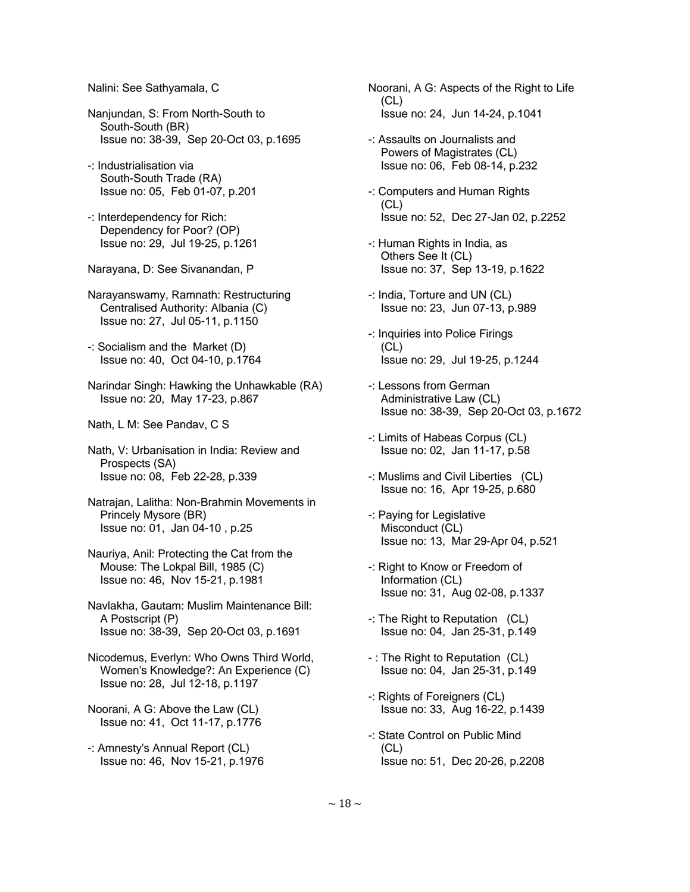Nalini: See Sathyamala, C

- Nanjundan, S: From North-South to South-South (BR) Issue no: 38-39, Sep 20-Oct 03, p.1695
- -: Industrialisation via South-South Trade (RA) Issue no: 05, Feb 01-07, p.201
- -: Interdependency for Rich: Dependency for Poor? (OP) Issue no: 29, Jul 19-25, p.1261
- Narayana, D: See Sivanandan, P
- Narayanswamy, Ramnath: Restructuring Centralised Authority: Albania (C) Issue no: 27, Jul 05-11, p.1150
- -: Socialism and the Market (D) Issue no: 40, Oct 04-10, p.1764
- Narindar Singh: Hawking the Unhawkable (RA) Issue no: 20, May 17-23, p.867
- Nath, L M: See Pandav, C S
- Nath, V: Urbanisation in India: Review and Prospects (SA) Issue no: 08, Feb 22-28, p.339
- Natrajan, Lalitha: Non-Brahmin Movements in Princely Mysore (BR) Issue no: 01, Jan 04-10 , p.25
- Nauriya, Anil: Protecting the Cat from the Mouse: The Lokpal Bill, 1985 (C) Issue no: 46, Nov 15-21, p.1981
- Navlakha, Gautam: Muslim Maintenance Bill: A Postscript (P) Issue no: 38-39, Sep 20-Oct 03, p.1691
- Nicodemus, Everlyn: Who Owns Third World, Women's Knowledge?: An Experience (C) Issue no: 28, Jul 12-18, p.1197
- Noorani, A G: Above the Law (CL) Issue no: 41, Oct 11-17, p.1776
- -: Amnesty's Annual Report (CL) Issue no: 46, Nov 15-21, p.1976
- Noorani, A G: Aspects of the Right to Life (CL) Issue no: 24, Jun 14-24, p.1041
- -: Assaults on Journalists and Powers of Magistrates (CL) Issue no: 06, Feb 08-14, p.232
- -: Computers and Human Rights (CL) Issue no: 52, Dec 27-Jan 02, p.2252
- -: Human Rights in India, as Others See It (CL) Issue no: 37, Sep 13-19, p.1622
- -: India, Torture and UN (CL) Issue no: 23, Jun 07-13, p.989
- -: Inquiries into Police Firings  $(CL)$ Issue no: 29, Jul 19-25, p.1244
- -: Lessons from German Administrative Law (CL) Issue no: 38-39, Sep 20-Oct 03, p.1672
- -: Limits of Habeas Corpus (CL) Issue no: 02, Jan 11-17, p.58
- -: Muslims and Civil Liberties (CL) Issue no: 16, Apr 19-25, p.680
- -: Paying for Legislative Misconduct (CL) Issue no: 13, Mar 29-Apr 04, p.521
- -: Right to Know or Freedom of Information (CL) Issue no: 31, Aug 02-08, p.1337
- -: The Right to Reputation (CL) Issue no: 04, Jan 25-31, p.149
- : The Right to Reputation (CL) Issue no: 04, Jan 25-31, p.149
- -: Rights of Foreigners (CL) Issue no: 33, Aug 16-22, p.1439
- -: State Control on Public Mind  $(CL)$ Issue no: 51, Dec 20-26, p.2208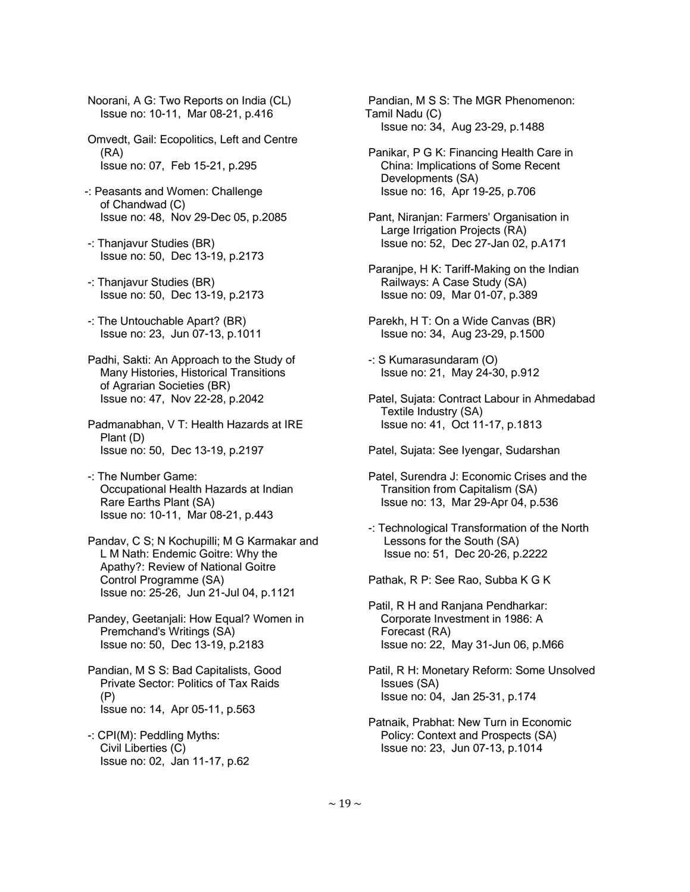Noorani, A G: Two Reports on India (CL) Issue no: 10-11, Mar 08-21, p.416

 Omvedt, Gail: Ecopolitics, Left and Centre (RA) Issue no: 07, Feb 15-21, p.295

- -: Peasants and Women: Challenge of Chandwad (C) Issue no: 48, Nov 29-Dec 05, p.2085
- -: Thanjavur Studies (BR) Issue no: 50, Dec 13-19, p.2173
- -: Thanjavur Studies (BR) Issue no: 50, Dec 13-19, p.2173
- -: The Untouchable Apart? (BR) Issue no: 23, Jun 07-13, p.1011
- Padhi, Sakti: An Approach to the Study of Many Histories, Historical Transitions of Agrarian Societies (BR) Issue no: 47, Nov 22-28, p.2042
- Padmanabhan, V T: Health Hazards at IRE Plant (D) Issue no: 50, Dec 13-19, p.2197
- -: The Number Game: Occupational Health Hazards at Indian Rare Earths Plant (SA) Issue no: 10-11, Mar 08-21, p.443
- Pandav, C S; N Kochupilli; M G Karmakar and L M Nath: Endemic Goitre: Why the Apathy?: Review of National Goitre Control Programme (SA) Issue no: 25-26, Jun 21-Jul 04, p.1121
- Pandey, Geetanjali: How Equal? Women in Premchand's Writings (SA) Issue no: 50, Dec 13-19, p.2183
- Pandian, M S S: Bad Capitalists, Good Private Sector: Politics of Tax Raids (P) Issue no: 14, Apr 05-11, p.563
- -: CPI(M): Peddling Myths: Civil Liberties (C) Issue no: 02, Jan 11-17, p.62

 Pandian, M S S: The MGR Phenomenon: Tamil Nadu (C) Issue no: 34, Aug 23-29, p.1488

- Panikar, P G K: Financing Health Care in China: Implications of Some Recent Developments (SA) Issue no: 16, Apr 19-25, p.706
- Pant, Niranjan: Farmers' Organisation in Large Irrigation Projects (RA) Issue no: 52, Dec 27-Jan 02, p.A171
- Paranjpe, H K: Tariff-Making on the Indian Railways: A Case Study (SA) Issue no: 09, Mar 01-07, p.389
- Parekh, H T: On a Wide Canvas (BR) Issue no: 34, Aug 23-29, p.1500
- -: S Kumarasundaram (O) Issue no: 21, May 24-30, p.912
- Patel, Sujata: Contract Labour in Ahmedabad Textile Industry (SA) Issue no: 41, Oct 11-17, p.1813

Patel, Sujata: See Iyengar, Sudarshan

- Patel, Surendra J: Economic Crises and the Transition from Capitalism (SA) Issue no: 13, Mar 29-Apr 04, p.536
- -: Technological Transformation of the North Lessons for the South (SA) Issue no: 51, Dec 20-26, p.2222

Pathak, R P: See Rao, Subba K G K

- Patil, R H and Ranjana Pendharkar: Corporate Investment in 1986: A Forecast (RA) Issue no: 22, May 31-Jun 06, p.M66
- Patil, R H: Monetary Reform: Some Unsolved Issues (SA) Issue no: 04, Jan 25-31, p.174
- Patnaik, Prabhat: New Turn in Economic Policy: Context and Prospects (SA) Issue no: 23, Jun 07-13, p.1014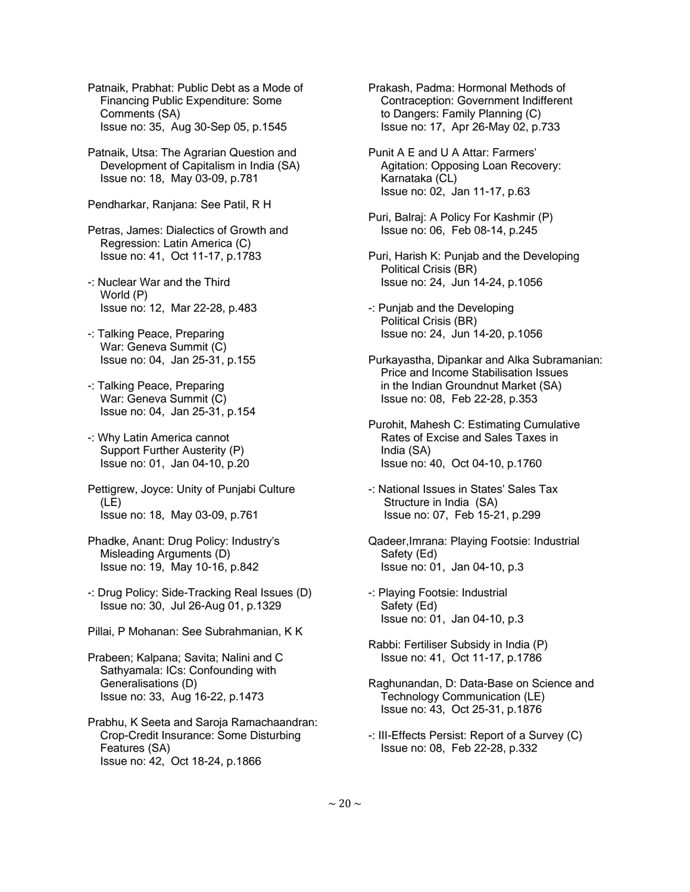Patnaik, Prabhat: Public Debt as a Mode of Financing Public Expenditure: Some Comments (SA) Issue no: 35, Aug 30-Sep 05, p.1545

- Patnaik, Utsa: The Agrarian Question and Development of Capitalism in India (SA) Issue no: 18, May 03-09, p.781
- Pendharkar, Ranjana: See Patil, R H

 Petras, James: Dialectics of Growth and Regression: Latin America (C) Issue no: 41, Oct 11-17, p.1783

- -: Nuclear War and the Third World (P) Issue no: 12, Mar 22-28, p.483
- -: Talking Peace, Preparing War: Geneva Summit (C) Issue no: 04, Jan 25-31, p.155
- -: Talking Peace, Preparing War: Geneva Summit (C) Issue no: 04, Jan 25-31, p.154
- -: Why Latin America cannot Support Further Austerity (P) Issue no: 01, Jan 04-10, p.20
- Pettigrew, Joyce: Unity of Punjabi Culture (LE) Issue no: 18, May 03-09, p.761
- Phadke, Anant: Drug Policy: Industry's Misleading Arguments (D) Issue no: 19, May 10-16, p.842
- -: Drug Policy: Side-Tracking Real Issues (D) Issue no: 30, Jul 26-Aug 01, p.1329
- Pillai, P Mohanan: See Subrahmanian, K K
- Prabeen; Kalpana; Savita; Nalini and C Sathyamala: ICs: Confounding with Generalisations (D) Issue no: 33, Aug 16-22, p.1473
- Prabhu, K Seeta and Saroja Ramachaandran: Crop-Credit Insurance: Some Disturbing Features (SA) Issue no: 42, Oct 18-24, p.1866
- Prakash, Padma: Hormonal Methods of Contraception: Government Indifferent to Dangers: Family Planning (C) Issue no: 17, Apr 26-May 02, p.733
- Punit A E and U A Attar: Farmers' Agitation: Opposing Loan Recovery: Karnataka (CL) Issue no: 02, Jan 11-17, p.63
- Puri, Balraj: A Policy For Kashmir (P) Issue no: 06, Feb 08-14, p.245
- Puri, Harish K: Punjab and the Developing Political Crisis (BR) Issue no: 24, Jun 14-24, p.1056
- -: Punjab and the Developing Political Crisis (BR) Issue no: 24, Jun 14-20, p.1056
- Purkayastha, Dipankar and Alka Subramanian: Price and Income Stabilisation Issues in the Indian Groundnut Market (SA) Issue no: 08, Feb 22-28, p.353
- Purohit, Mahesh C: Estimating Cumulative Rates of Excise and Sales Taxes in India (SA) Issue no: 40, Oct 04-10, p.1760
- -: National Issues in States' Sales Tax Structure in India (SA) Issue no: 07, Feb 15-21, p.299
- Qadeer,Imrana: Playing Footsie: Industrial Safety (Ed) Issue no: 01, Jan 04-10, p.3
- -: Playing Footsie: Industrial Safety (Ed) Issue no: 01, Jan 04-10, p.3
- Rabbi: Fertiliser Subsidy in India (P) Issue no: 41, Oct 11-17, p.1786
- Raghunandan, D: Data-Base on Science and Technology Communication (LE) Issue no: 43, Oct 25-31, p.1876
- -: III-Effects Persist: Report of a Survey (C) Issue no: 08, Feb 22-28, p.332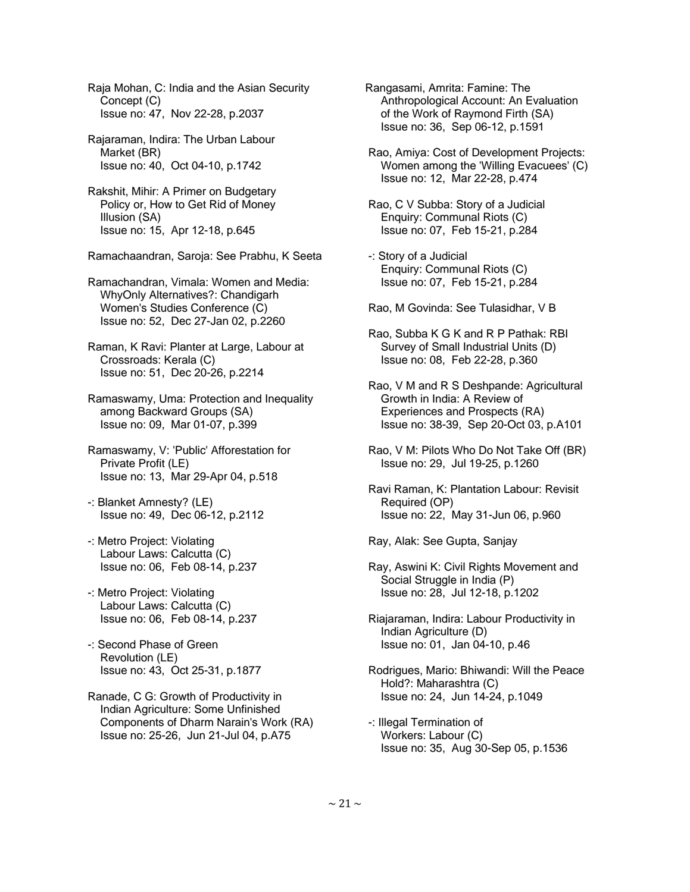Raja Mohan, C: India and the Asian Security Concept (C) Issue no: 47, Nov 22-28, p.2037

 Rajaraman, Indira: The Urban Labour Market (BR) Issue no: 40, Oct 04-10, p.1742

 Rakshit, Mihir: A Primer on Budgetary Policy or, How to Get Rid of Money Illusion (SA) Issue no: 15, Apr 12-18, p.645

Ramachaandran, Saroja: See Prabhu, K Seeta

 Ramachandran, Vimala: Women and Media: WhyOnly Alternatives?: Chandigarh Women's Studies Conference (C) Issue no: 52, Dec 27-Jan 02, p.2260

 Raman, K Ravi: Planter at Large, Labour at Crossroads: Kerala (C) Issue no: 51, Dec 20-26, p.2214

 Ramaswamy, Uma: Protection and Inequality among Backward Groups (SA) Issue no: 09, Mar 01-07, p.399

 Ramaswamy, V: 'Public' Afforestation for Private Profit (LE) Issue no: 13, Mar 29-Apr 04, p.518

 -: Blanket Amnesty? (LE) Issue no: 49, Dec 06-12, p.2112

- -: Metro Project: Violating Labour Laws: Calcutta (C) Issue no: 06, Feb 08-14, p.237
- -: Metro Project: Violating Labour Laws: Calcutta (C) Issue no: 06, Feb 08-14, p.237

 -: Second Phase of Green Revolution (LE) Issue no: 43, Oct 25-31, p.1877

 Ranade, C G: Growth of Productivity in Indian Agriculture: Some Unfinished Components of Dharm Narain's Work (RA) Issue no: 25-26, Jun 21-Jul 04, p.A75

Rangasami, Amrita: Famine: The Anthropological Account: An Evaluation of the Work of Raymond Firth (SA) Issue no: 36, Sep 06-12, p.1591

 Rao, Amiya: Cost of Development Projects: Women among the 'Willing Evacuees' (C) Issue no: 12, Mar 22-28, p.474

 Rao, C V Subba: Story of a Judicial Enquiry: Communal Riots (C) Issue no: 07, Feb 15-21, p.284

 -: Story of a Judicial Enquiry: Communal Riots (C) Issue no: 07, Feb 15-21, p.284

Rao, M Govinda: See Tulasidhar, V B

 Rao, Subba K G K and R P Pathak: RBI Survey of Small Industrial Units (D) Issue no: 08, Feb 22-28, p.360

 Rao, V M and R S Deshpande: Agricultural Growth in India: A Review of Experiences and Prospects (RA) Issue no: 38-39, Sep 20-Oct 03, p.A101

 Rao, V M: Pilots Who Do Not Take Off (BR) Issue no: 29, Jul 19-25, p.1260

 Ravi Raman, K: Plantation Labour: Revisit Required (OP) Issue no: 22, May 31-Jun 06, p.960

Ray, Alak: See Gupta, Sanjay

 Ray, Aswini K: Civil Rights Movement and Social Struggle in India (P) Issue no: 28, Jul 12-18, p.1202

 Riajaraman, Indira: Labour Productivity in Indian Agriculture (D) Issue no: 01, Jan 04-10, p.46

 Rodrigues, Mario: Bhiwandi: Will the Peace Hold?: Maharashtra (C) Issue no: 24, Jun 14-24, p.1049

 -: Illegal Termination of Workers: Labour (C) Issue no: 35, Aug 30-Sep 05, p.1536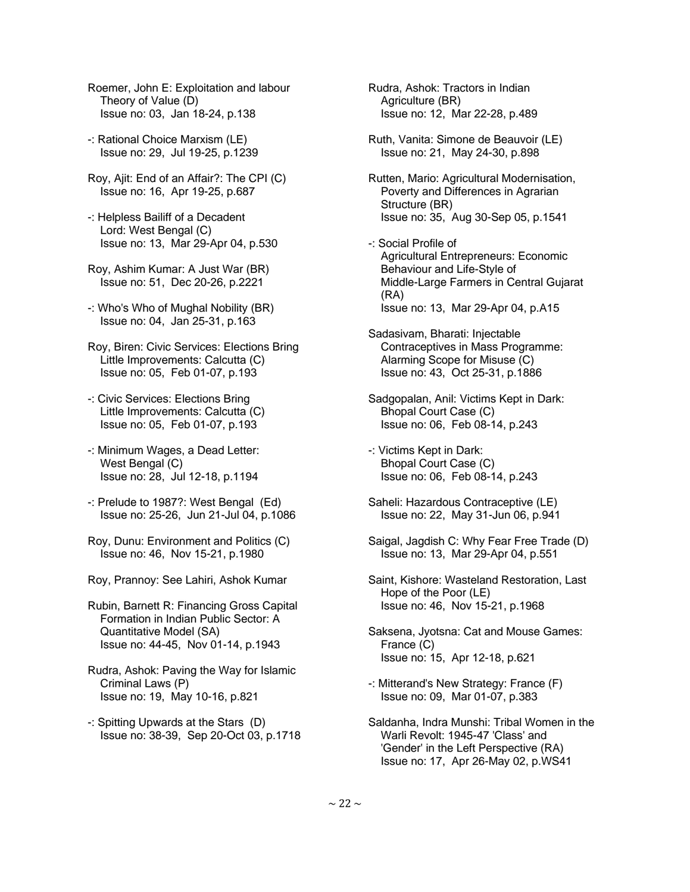- Roemer, John E: Exploitation and labour Theory of Value (D) Issue no: 03, Jan 18-24, p.138
- -: Rational Choice Marxism (LE) Issue no: 29, Jul 19-25, p.1239
- Roy, Ajit: End of an Affair?: The CPI (C) Issue no: 16, Apr 19-25, p.687
- -: Helpless Bailiff of a Decadent Lord: West Bengal (C) Issue no: 13, Mar 29-Apr 04, p.530
- Roy, Ashim Kumar: A Just War (BR) Issue no: 51, Dec 20-26, p.2221
- -: Who's Who of Mughal Nobility (BR) Issue no: 04, Jan 25-31, p.163
- Roy, Biren: Civic Services: Elections Bring Little Improvements: Calcutta (C) Issue no: 05, Feb 01-07, p.193
- -: Civic Services: Elections Bring Little Improvements: Calcutta (C) Issue no: 05, Feb 01-07, p.193
- -: Minimum Wages, a Dead Letter: West Bengal (C) Issue no: 28, Jul 12-18, p.1194
- -: Prelude to 1987?: West Bengal (Ed) Issue no: 25-26, Jun 21-Jul 04, p.1086
- Roy, Dunu: Environment and Politics (C) Issue no: 46, Nov 15-21, p.1980
- Roy, Prannoy: See Lahiri, Ashok Kumar
- Rubin, Barnett R: Financing Gross Capital Formation in Indian Public Sector: A Quantitative Model (SA) Issue no: 44-45, Nov 01-14, p.1943
- Rudra, Ashok: Paving the Way for Islamic Criminal Laws (P) Issue no: 19, May 10-16, p.821
- -: Spitting Upwards at the Stars (D) Issue no: 38-39, Sep 20-Oct 03, p.1718

 Rudra, Ashok: Tractors in Indian Agriculture (BR) Issue no: 12, Mar 22-28, p.489

- Ruth, Vanita: Simone de Beauvoir (LE) Issue no: 21, May 24-30, p.898
- Rutten, Mario: Agricultural Modernisation, Poverty and Differences in Agrarian Structure (BR) Issue no: 35, Aug 30-Sep 05, p.1541
- -: Social Profile of Agricultural Entrepreneurs: Economic Behaviour and Life-Style of Middle-Large Farmers in Central Gujarat (RA) Issue no: 13, Mar 29-Apr 04, p.A15
- Sadasivam, Bharati: Injectable Contraceptives in Mass Programme: Alarming Scope for Misuse (C) Issue no: 43, Oct 25-31, p.1886
- Sadgopalan, Anil: Victims Kept in Dark: Bhopal Court Case (C) Issue no: 06, Feb 08-14, p.243
- -: Victims Kept in Dark: Bhopal Court Case (C) Issue no: 06, Feb 08-14, p.243
- Saheli: Hazardous Contraceptive (LE) Issue no: 22, May 31-Jun 06, p.941
- Saigal, Jagdish C: Why Fear Free Trade (D) Issue no: 13, Mar 29-Apr 04, p.551
- Saint, Kishore: Wasteland Restoration, Last Hope of the Poor (LE) Issue no: 46, Nov 15-21, p.1968
- Saksena, Jyotsna: Cat and Mouse Games: France (C) Issue no: 15, Apr 12-18, p.621
- -: Mitterand's New Strategy: France (F) Issue no: 09, Mar 01-07, p.383
- Saldanha, Indra Munshi: Tribal Women in the Warli Revolt: 1945-47 'Class' and 'Gender' in the Left Perspective (RA) Issue no: 17, Apr 26-May 02, p.WS41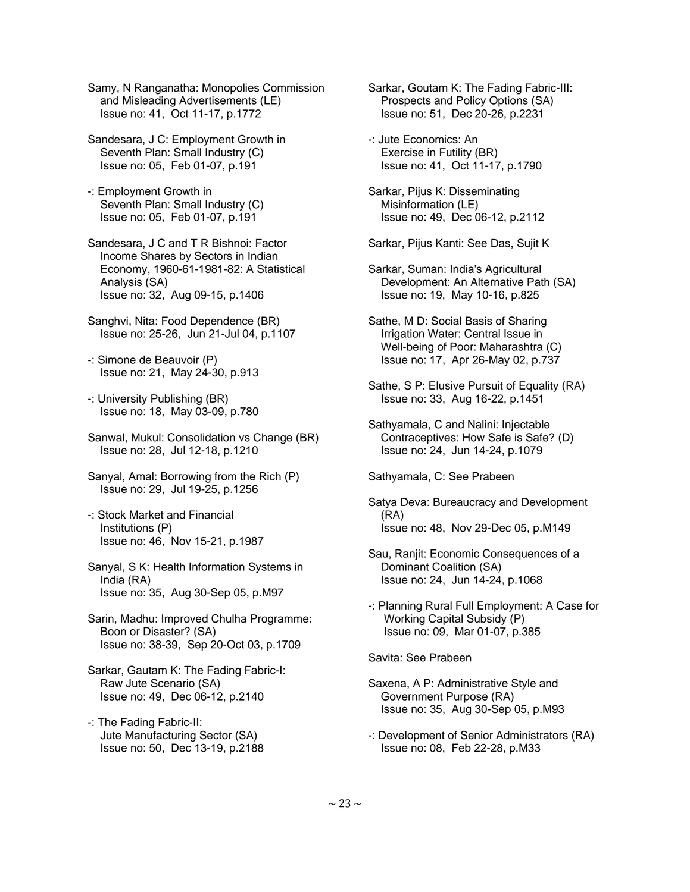Samy, N Ranganatha: Monopolies Commission and Misleading Advertisements (LE) Issue no: 41, Oct 11-17, p.1772

 Sandesara, J C: Employment Growth in Seventh Plan: Small Industry (C) Issue no: 05, Feb 01-07, p.191

 -: Employment Growth in Seventh Plan: Small Industry (C) Issue no: 05, Feb 01-07, p.191

 Sandesara, J C and T R Bishnoi: Factor Income Shares by Sectors in Indian Economy, 1960-61-1981-82: A Statistical Analysis (SA) Issue no: 32, Aug 09-15, p.1406

- Sanghvi, Nita: Food Dependence (BR) Issue no: 25-26, Jun 21-Jul 04, p.1107
- -: Simone de Beauvoir (P) Issue no: 21, May 24-30, p.913
- -: University Publishing (BR) Issue no: 18, May 03-09, p.780
- Sanwal, Mukul: Consolidation vs Change (BR) Issue no: 28, Jul 12-18, p.1210
- Sanyal, Amal: Borrowing from the Rich (P) Issue no: 29, Jul 19-25, p.1256
- -: Stock Market and Financial Institutions (P) Issue no: 46, Nov 15-21, p.1987
- Sanyal, S K: Health Information Systems in India (RA) Issue no: 35, Aug 30-Sep 05, p.M97
- Sarin, Madhu: Improved Chulha Programme: Boon or Disaster? (SA) Issue no: 38-39, Sep 20-Oct 03, p.1709
- Sarkar, Gautam K: The Fading Fabric-I: Raw Jute Scenario (SA) Issue no: 49, Dec 06-12, p.2140
- -: The Fading Fabric-II: Jute Manufacturing Sector (SA) Issue no: 50, Dec 13-19, p.2188

 Sarkar, Goutam K: The Fading Fabric-III: Prospects and Policy Options (SA) Issue no: 51, Dec 20-26, p.2231

- -: Jute Economics: An Exercise in Futility (BR) Issue no: 41, Oct 11-17, p.1790
- Sarkar, Pijus K: Disseminating Misinformation (LE) Issue no: 49, Dec 06-12, p.2112
- Sarkar, Pijus Kanti: See Das, Sujit K
- Sarkar, Suman: India's Agricultural Development: An Alternative Path (SA) Issue no: 19, May 10-16, p.825
- Sathe, M D: Social Basis of Sharing Irrigation Water: Central Issue in Well-being of Poor: Maharashtra (C) Issue no: 17, Apr 26-May 02, p.737
- Sathe, S P: Elusive Pursuit of Equality (RA) Issue no: 33, Aug 16-22, p.1451
- Sathyamala, C and Nalini: Injectable Contraceptives: How Safe is Safe? (D) Issue no: 24, Jun 14-24, p.1079
- Sathyamala, C: See Prabeen
- Satya Deva: Bureaucracy and Development (RA) Issue no: 48, Nov 29-Dec 05, p.M149
- Sau, Ranjit: Economic Consequences of a Dominant Coalition (SA) Issue no: 24, Jun 14-24, p.1068
- -: Planning Rural Full Employment: A Case for Working Capital Subsidy (P) Issue no: 09, Mar 01-07, p.385

Savita: See Prabeen

- Saxena, A P: Administrative Style and Government Purpose (RA) Issue no: 35, Aug 30-Sep 05, p.M93
- -: Development of Senior Administrators (RA) Issue no: 08, Feb 22-28, p.M33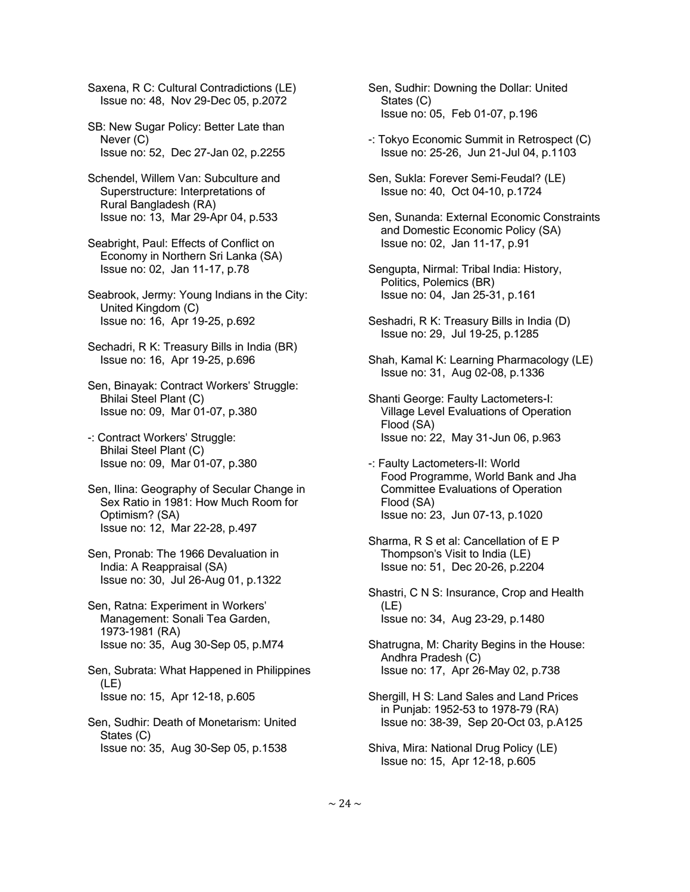Saxena, R C: Cultural Contradictions (LE) Issue no: 48, Nov 29-Dec 05, p.2072

 SB: New Sugar Policy: Better Late than Never (C) Issue no: 52, Dec 27-Jan 02, p.2255

 Schendel, Willem Van: Subculture and Superstructure: Interpretations of Rural Bangladesh (RA) Issue no: 13, Mar 29-Apr 04, p.533

 Seabright, Paul: Effects of Conflict on Economy in Northern Sri Lanka (SA) Issue no: 02, Jan 11-17, p.78

 Seabrook, Jermy: Young Indians in the City: United Kingdom (C) Issue no: 16, Apr 19-25, p.692

 Sechadri, R K: Treasury Bills in India (BR) Issue no: 16, Apr 19-25, p.696

 Sen, Binayak: Contract Workers' Struggle: Bhilai Steel Plant (C) Issue no: 09, Mar 01-07, p.380

 -: Contract Workers' Struggle: Bhilai Steel Plant (C) Issue no: 09, Mar 01-07, p.380

 Sen, Ilina: Geography of Secular Change in Sex Ratio in 1981: How Much Room for Optimism? (SA) Issue no: 12, Mar 22-28, p.497

 Sen, Pronab: The 1966 Devaluation in India: A Reappraisal (SA) Issue no: 30, Jul 26-Aug 01, p.1322

 Sen, Ratna: Experiment in Workers' Management: Sonali Tea Garden, 1973-1981 (RA) Issue no: 35, Aug 30-Sep 05, p.M74

 Sen, Subrata: What Happened in Philippines (LE) Issue no: 15, Apr 12-18, p.605

 Sen, Sudhir: Death of Monetarism: United States (C) Issue no: 35, Aug 30-Sep 05, p.1538

 Sen, Sudhir: Downing the Dollar: United States (C) Issue no: 05, Feb 01-07, p.196

 -: Tokyo Economic Summit in Retrospect (C) Issue no: 25-26, Jun 21-Jul 04, p.1103

 Sen, Sukla: Forever Semi-Feudal? (LE) Issue no: 40, Oct 04-10, p.1724

 Sen, Sunanda: External Economic Constraints and Domestic Economic Policy (SA) Issue no: 02, Jan 11-17, p.91

 Sengupta, Nirmal: Tribal India: History, Politics, Polemics (BR) Issue no: 04, Jan 25-31, p.161

 Seshadri, R K: Treasury Bills in India (D) Issue no: 29, Jul 19-25, p.1285

 Shah, Kamal K: Learning Pharmacology (LE) Issue no: 31, Aug 02-08, p.1336

 Shanti George: Faulty Lactometers-I: Village Level Evaluations of Operation Flood (SA) Issue no: 22, May 31-Jun 06, p.963

 -: Faulty Lactometers-II: World Food Programme, World Bank and Jha Committee Evaluations of Operation Flood (SA) Issue no: 23, Jun 07-13, p.1020

 Sharma, R S et al: Cancellation of E P Thompson's Visit to India (LE) Issue no: 51, Dec 20-26, p.2204

 Shastri, C N S: Insurance, Crop and Health (LE) Issue no: 34, Aug 23-29, p.1480

 Shatrugna, M: Charity Begins in the House: Andhra Pradesh (C) Issue no: 17, Apr 26-May 02, p.738

 Shergill, H S: Land Sales and Land Prices in Punjab: 1952-53 to 1978-79 (RA) Issue no: 38-39, Sep 20-Oct 03, p.A125

 Shiva, Mira: National Drug Policy (LE) Issue no: 15, Apr 12-18, p.605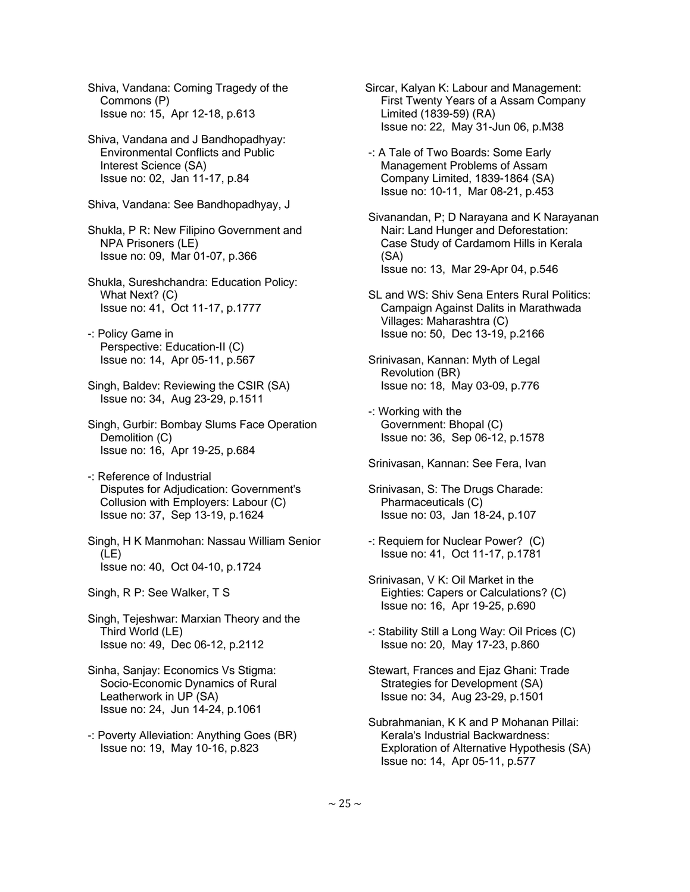Shiva, Vandana: Coming Tragedy of the Commons (P) Issue no: 15, Apr 12-18, p.613

- Shiva, Vandana and J Bandhopadhyay: Environmental Conflicts and Public Interest Science (SA) Issue no: 02, Jan 11-17, p.84
- Shiva, Vandana: See Bandhopadhyay, J
- Shukla, P R: New Filipino Government and NPA Prisoners (LE) Issue no: 09, Mar 01-07, p.366
- Shukla, Sureshchandra: Education Policy: What Next? (C) Issue no: 41, Oct 11-17, p.1777
- -: Policy Game in Perspective: Education-II (C) Issue no: 14, Apr 05-11, p.567
- Singh, Baldev: Reviewing the CSIR (SA) Issue no: 34, Aug 23-29, p.1511
- Singh, Gurbir: Bombay Slums Face Operation Demolition (C) Issue no: 16, Apr 19-25, p.684
- -: Reference of Industrial Disputes for Adjudication: Government's Collusion with Employers: Labour (C) Issue no: 37, Sep 13-19, p.1624
- Singh, H K Manmohan: Nassau William Senior (LE) Issue no: 40, Oct 04-10, p.1724
- Singh, R P: See Walker, T S
- Singh, Tejeshwar: Marxian Theory and the Third World (LE) Issue no: 49, Dec 06-12, p.2112
- Sinha, Sanjay: Economics Vs Stigma: Socio-Economic Dynamics of Rural Leatherwork in UP (SA) Issue no: 24, Jun 14-24, p.1061
- -: Poverty Alleviation: Anything Goes (BR) Issue no: 19, May 10-16, p.823
- Sircar, Kalyan K: Labour and Management: First Twenty Years of a Assam Company Limited (1839-59) (RA) Issue no: 22, May 31-Jun 06, p.M38
- -: A Tale of Two Boards: Some Early Management Problems of Assam Company Limited, 1839-1864 (SA) Issue no: 10-11, Mar 08-21, p.453
- Sivanandan, P; D Narayana and K Narayanan Nair: Land Hunger and Deforestation: Case Study of Cardamom Hills in Kerala (SA) Issue no: 13, Mar 29-Apr 04, p.546
- SL and WS: Shiv Sena Enters Rural Politics: Campaign Against Dalits in Marathwada Villages: Maharashtra (C) Issue no: 50, Dec 13-19, p.2166
- Srinivasan, Kannan: Myth of Legal Revolution (BR) Issue no: 18, May 03-09, p.776
- -: Working with the Government: Bhopal (C) Issue no: 36, Sep 06-12, p.1578
- Srinivasan, Kannan: See Fera, Ivan
- Srinivasan, S: The Drugs Charade: Pharmaceuticals (C) Issue no: 03, Jan 18-24, p.107
- -: Requiem for Nuclear Power? (C) Issue no: 41, Oct 11-17, p.1781
- Srinivasan, V K: Oil Market in the Eighties: Capers or Calculations? (C) Issue no: 16, Apr 19-25, p.690
- -: Stability Still a Long Way: Oil Prices (C) Issue no: 20, May 17-23, p.860
- Stewart, Frances and Ejaz Ghani: Trade Strategies for Development (SA) Issue no: 34, Aug 23-29, p.1501
- Subrahmanian, K K and P Mohanan Pillai: Kerala's Industrial Backwardness: Exploration of Alternative Hypothesis (SA) Issue no: 14, Apr 05-11, p.577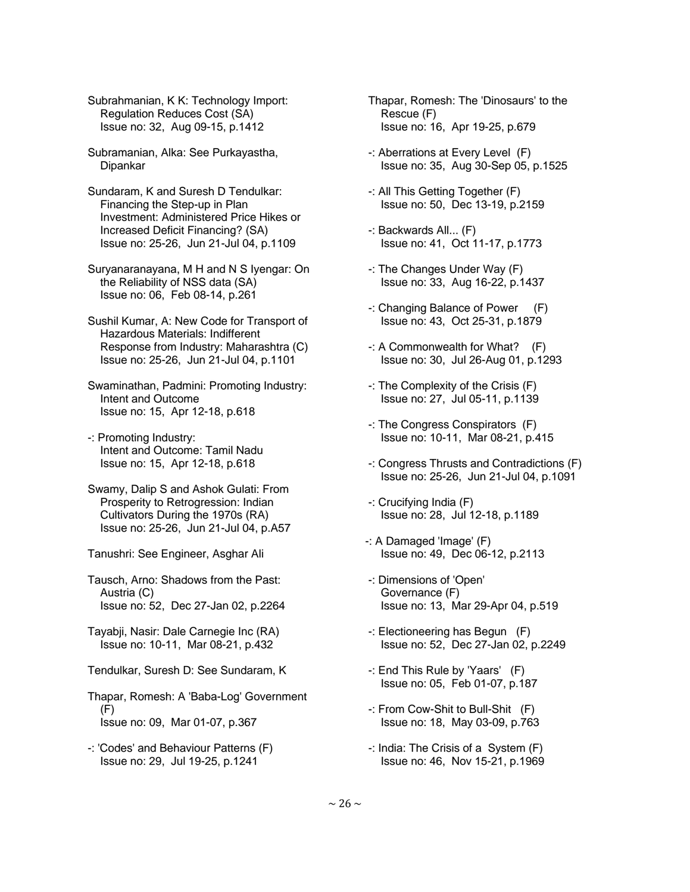Subrahmanian, K K: Technology Import: Regulation Reduces Cost (SA) Issue no: 32, Aug 09-15, p.1412

 Subramanian, Alka: See Purkayastha, Dipankar

 Sundaram, K and Suresh D Tendulkar: Financing the Step-up in Plan Investment: Administered Price Hikes or Increased Deficit Financing? (SA) Issue no: 25-26, Jun 21-Jul 04, p.1109

 Suryanaranayana, M H and N S Iyengar: On the Reliability of NSS data (SA) Issue no: 06, Feb 08-14, p.261

 Sushil Kumar, A: New Code for Transport of Hazardous Materials: Indifferent Response from Industry: Maharashtra (C) Issue no: 25-26, Jun 21-Jul 04, p.1101

 Swaminathan, Padmini: Promoting Industry: Intent and Outcome Issue no: 15, Apr 12-18, p.618

- -: Promoting Industry: Intent and Outcome: Tamil Nadu Issue no: 15, Apr 12-18, p.618
- Swamy, Dalip S and Ashok Gulati: From Prosperity to Retrogression: Indian Cultivators During the 1970s (RA) Issue no: 25-26, Jun 21-Jul 04, p.A57
- Tanushri: See Engineer, Asghar Ali

 Tausch, Arno: Shadows from the Past: Austria (C) Issue no: 52, Dec 27-Jan 02, p.2264

- Tayabji, Nasir: Dale Carnegie Inc (RA) Issue no: 10-11, Mar 08-21, p.432
- Tendulkar, Suresh D: See Sundaram, K
- Thapar, Romesh: A 'Baba-Log' Government (F) Issue no: 09, Mar 01-07, p.367
- -: 'Codes' and Behaviour Patterns (F) Issue no: 29, Jul 19-25, p.1241

 Thapar, Romesh: The 'Dinosaurs' to the Rescue (F) Issue no: 16, Apr 19-25, p.679

- -: Aberrations at Every Level (F) Issue no: 35, Aug 30-Sep 05, p.1525
- -: All This Getting Together (F) Issue no: 50, Dec 13-19, p.2159
- -: Backwards All... (F) Issue no: 41, Oct 11-17, p.1773
- -: The Changes Under Way (F) Issue no: 33, Aug 16-22, p.1437
- -: Changing Balance of Power (F) Issue no: 43, Oct 25-31, p.1879
- -: A Commonwealth for What? (F) Issue no: 30, Jul 26-Aug 01, p.1293
- -: The Complexity of the Crisis (F) Issue no: 27, Jul 05-11, p.1139
- -: The Congress Conspirators (F) Issue no: 10-11, Mar 08-21, p.415
- -: Congress Thrusts and Contradictions (F) Issue no: 25-26, Jun 21-Jul 04, p.1091
- -: Crucifying India (F) Issue no: 28, Jul 12-18, p.1189
- -: A Damaged 'Image' (F) Issue no: 49, Dec 06-12, p.2113
- -: Dimensions of 'Open' Governance (F) Issue no: 13, Mar 29-Apr 04, p.519
- -: Electioneering has Begun (F) Issue no: 52, Dec 27-Jan 02, p.2249
- -: End This Rule by 'Yaars' (F) Issue no: 05, Feb 01-07, p.187
- -: From Cow-Shit to Bull-Shit (F) Issue no: 18, May 03-09, p.763
- -: India: The Crisis of a System (F) Issue no: 46, Nov 15-21, p.1969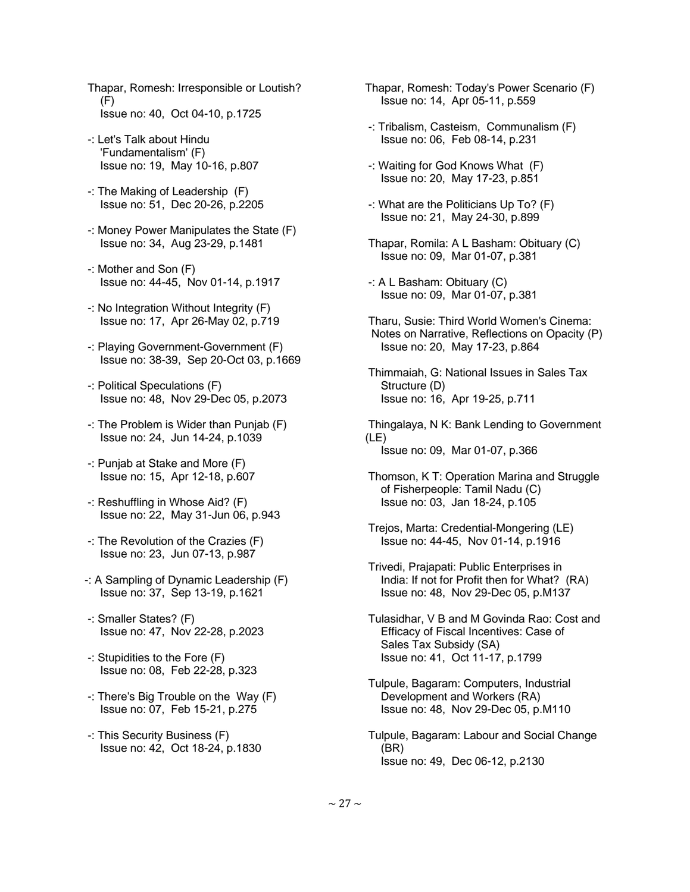- Thapar, Romesh: Irresponsible or Loutish? (F) Issue no: 40, Oct 04-10, p.1725
- -: Let's Talk about Hindu 'Fundamentalism' (F) Issue no: 19, May 10-16, p.807
- -: The Making of Leadership (F) Issue no: 51, Dec 20-26, p.2205
- -: Money Power Manipulates the State (F) Issue no: 34, Aug 23-29, p.1481
- -: Mother and Son (F) Issue no: 44-45, Nov 01-14, p.1917
- -: No Integration Without Integrity (F) Issue no: 17, Apr 26-May 02, p.719
- -: Playing Government-Government (F) Issue no: 38-39, Sep 20-Oct 03, p.1669
- -: Political Speculations (F) Issue no: 48, Nov 29-Dec 05, p.2073
- -: The Problem is Wider than Punjab (F) Issue no: 24, Jun 14-24, p.1039
- -: Punjab at Stake and More (F) Issue no: 15, Apr 12-18, p.607
- -: Reshuffling in Whose Aid? (F) Issue no: 22, May 31-Jun 06, p.943
- -: The Revolution of the Crazies (F) Issue no: 23, Jun 07-13, p.987
- -: A Sampling of Dynamic Leadership (F) Issue no: 37, Sep 13-19, p.1621
- -: Smaller States? (F) Issue no: 47, Nov 22-28, p.2023
- -: Stupidities to the Fore (F) Issue no: 08, Feb 22-28, p.323
- -: There's Big Trouble on the Way (F) Issue no: 07, Feb 15-21, p.275
- -: This Security Business (F) Issue no: 42, Oct 18-24, p.1830
- Thapar, Romesh: Today's Power Scenario (F) Issue no: 14, Apr 05-11, p.559
- -: Tribalism, Casteism, Communalism (F) Issue no: 06, Feb 08-14, p.231
- -: Waiting for God Knows What (F) Issue no: 20, May 17-23, p.851
- -: What are the Politicians Up To? (F) Issue no: 21, May 24-30, p.899
- Thapar, Romila: A L Basham: Obituary (C) Issue no: 09, Mar 01-07, p.381
- -: A L Basham: Obituary (C) Issue no: 09, Mar 01-07, p.381
- Tharu, Susie: Third World Women's Cinema: Notes on Narrative, Reflections on Opacity (P) Issue no: 20, May 17-23, p.864
- Thimmaiah, G: National Issues in Sales Tax Structure (D) Issue no: 16, Apr 19-25, p.711
- Thingalaya, N K: Bank Lending to Government (LE) Issue no: 09, Mar 01-07, p.366
- Thomson, K T: Operation Marina and Struggle of Fisherpeople: Tamil Nadu (C) Issue no: 03, Jan 18-24, p.105
- Trejos, Marta: Credential-Mongering (LE) Issue no: 44-45, Nov 01-14, p.1916
- Trivedi, Prajapati: Public Enterprises in India: If not for Profit then for What? (RA) Issue no: 48, Nov 29-Dec 05, p.M137
- Tulasidhar, V B and M Govinda Rao: Cost and Efficacy of Fiscal Incentives: Case of Sales Tax Subsidy (SA) Issue no: 41, Oct 11-17, p.1799
- Tulpule, Bagaram: Computers, Industrial Development and Workers (RA) Issue no: 48, Nov 29-Dec 05, p.M110
- Tulpule, Bagaram: Labour and Social Change (BR) Issue no: 49, Dec 06-12, p.2130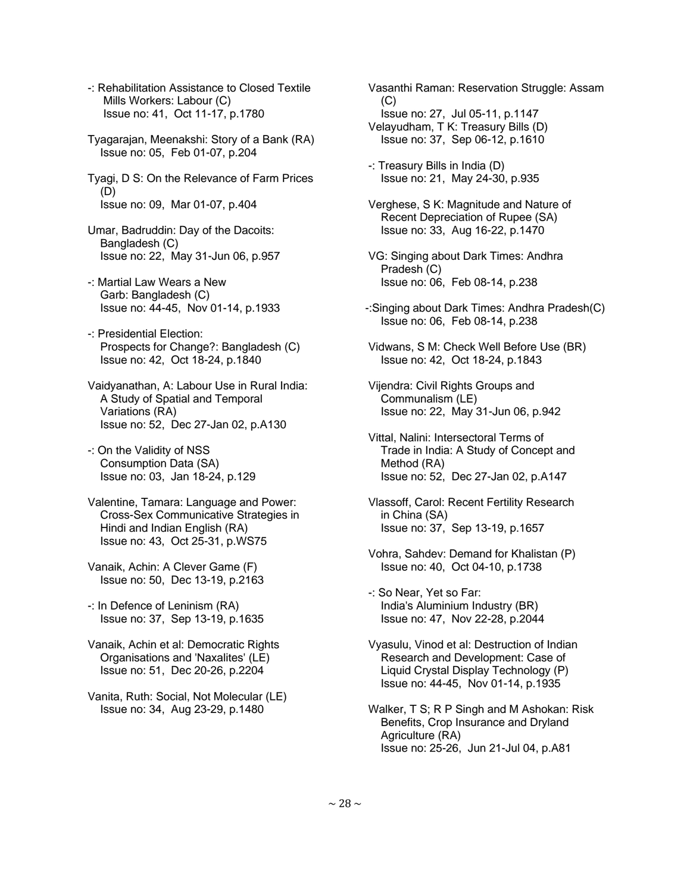- -: Rehabilitation Assistance to Closed Textile Mills Workers: Labour (C) Issue no: 41, Oct 11-17, p.1780
- Tyagarajan, Meenakshi: Story of a Bank (RA) Issue no: 05, Feb 01-07, p.204
- Tyagi, D S: On the Relevance of Farm Prices (D) Issue no: 09, Mar 01-07, p.404
- Umar, Badruddin: Day of the Dacoits: Bangladesh (C) Issue no: 22, May 31-Jun 06, p.957
- -: Martial Law Wears a New Garb: Bangladesh (C) Issue no: 44-45, Nov 01-14, p.1933
- -: Presidential Election: Prospects for Change?: Bangladesh (C) Issue no: 42, Oct 18-24, p.1840
- Vaidyanathan, A: Labour Use in Rural India: A Study of Spatial and Temporal Variations (RA) Issue no: 52, Dec 27-Jan 02, p.A130
- -: On the Validity of NSS Consumption Data (SA) Issue no: 03, Jan 18-24, p.129
- Valentine, Tamara: Language and Power: Cross-Sex Communicative Strategies in Hindi and Indian English (RA) Issue no: 43, Oct 25-31, p.WS75
- Vanaik, Achin: A Clever Game (F) Issue no: 50, Dec 13-19, p.2163
- -: In Defence of Leninism (RA) Issue no: 37, Sep 13-19, p.1635
- Vanaik, Achin et al: Democratic Rights Organisations and 'Naxalites' (LE) Issue no: 51, Dec 20-26, p.2204
- Vanita, Ruth: Social, Not Molecular (LE) Issue no: 34, Aug 23-29, p.1480
- Vasanthi Raman: Reservation Struggle: Assam (C) Issue no: 27, Jul 05-11, p.1147 Velayudham, T K: Treasury Bills (D) Issue no: 37, Sep 06-12, p.1610
- -: Treasury Bills in India (D) Issue no: 21, May 24-30, p.935
- Verghese, S K: Magnitude and Nature of Recent Depreciation of Rupee (SA) Issue no: 33, Aug 16-22, p.1470
- VG: Singing about Dark Times: Andhra Pradesh (C) Issue no: 06, Feb 08-14, p.238
- -:Singing about Dark Times: Andhra Pradesh(C) Issue no: 06, Feb 08-14, p.238
- Vidwans, S M: Check Well Before Use (BR) Issue no: 42, Oct 18-24, p.1843
- Vijendra: Civil Rights Groups and Communalism (LE) Issue no: 22, May 31-Jun 06, p.942
- Vittal, Nalini: Intersectoral Terms of Trade in India: A Study of Concept and Method (RA) Issue no: 52, Dec 27-Jan 02, p.A147
- Vlassoff, Carol: Recent Fertility Research in China (SA) Issue no: 37, Sep 13-19, p.1657
- Vohra, Sahdev: Demand for Khalistan (P) Issue no: 40, Oct 04-10, p.1738
- -: So Near, Yet so Far: India's Aluminium Industry (BR) Issue no: 47, Nov 22-28, p.2044
- Vyasulu, Vinod et al: Destruction of Indian Research and Development: Case of Liquid Crystal Display Technology (P) Issue no: 44-45, Nov 01-14, p.1935
- Walker, T S; R P Singh and M Ashokan: Risk Benefits, Crop Insurance and Dryland Agriculture (RA) Issue no: 25-26, Jun 21-Jul 04, p.A81